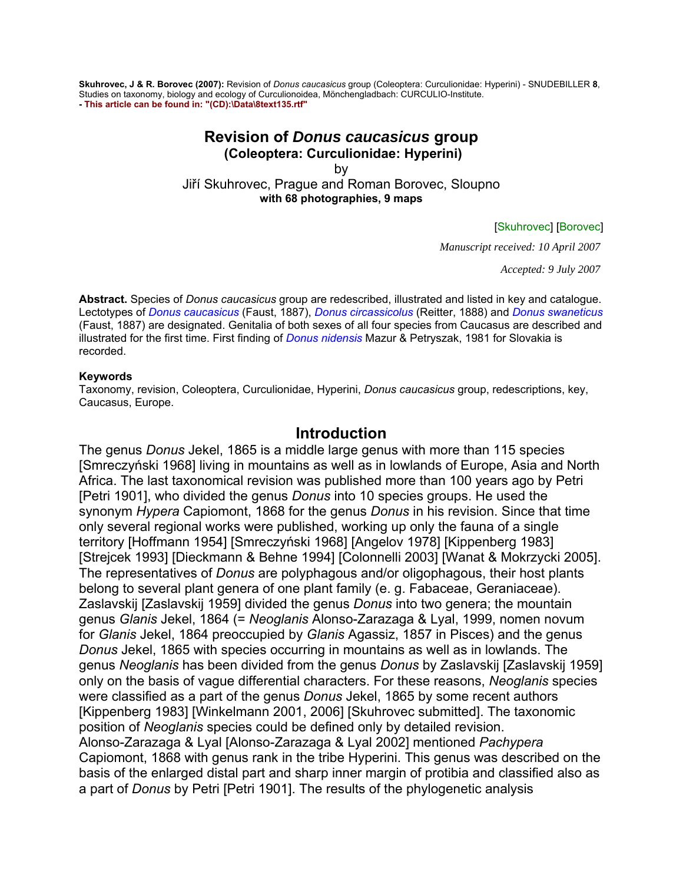**Skuhrovec, J & R. Borovec (2007):** Revision of *Donus caucasicus* group (Coleoptera: Curculionidae: Hyperini) - SNUDEBILLER **8**, Studies on taxonomy, biology and ecology of Curculionoidea, Mönchengladbach: CURCULIO-Institute. **- This article can be found in: "(CD):\Data\8text135.rtf"**

#### **Revision of** *Donus caucasicus* **group (Coleoptera: Curculionidae: Hyperini)**

by

Jiří Skuhrovec, Prague and Roman Borovec, Sloupno **with 68 photographies, 9 maps** 

#### [Skuhrovec] [Borovec]

*Manuscript received: 10 April 2007* 

*Accepted: 9 July 2007* 

**Abstract.** Species of *Donus caucasicus* group are redescribed, illustrated and listed in key and catalogue. Lectotypes of *Donus caucasicus* (Faust, 1887), *Donus circassicolus* (Reitter, 1888) and *Donus swaneticus* (Faust, 1887) are designated. Genitalia of both sexes of all four species from Caucasus are described and illustrated for the first time. First finding of *Donus nidensis* Mazur & Petryszak, 1981 for Slovakia is recorded.

#### **Keywords**

Taxonomy, revision, Coleoptera, Curculionidae, Hyperini, *Donus caucasicus* group, redescriptions, key, Caucasus, Europe.

### **Introduction**

The genus *Donus* Jekel, 1865 is a middle large genus with more than 115 species [Smreczyński 1968] living in mountains as well as in lowlands of Europe, Asia and North Africa. The last taxonomical revision was published more than 100 years ago by Petri [Petri 1901], who divided the genus *Donus* into 10 species groups. He used the synonym *Hypera* Capiomont, 1868 for the genus *Donus* in his revision. Since that time only several regional works were published, working up only the fauna of a single territory [Hoffmann 1954] [Smreczyński 1968] [Angelov 1978] [Kippenberg 1983] [Strejcek 1993] [Dieckmann & Behne 1994] [Colonnelli 2003] [Wanat & Mokrzycki 2005]. The representatives of *Donus* are polyphagous and/or oligophagous, their host plants belong to several plant genera of one plant family (e. g. Fabaceae, Geraniaceae). Zaslavskij [Zaslavskij 1959] divided the genus *Donus* into two genera; the mountain genus *Glanis* Jekel, 1864 (= *Neoglanis* Alonso-Zarazaga & Lyal, 1999, nomen novum for *Glanis* Jekel, 1864 preoccupied by *Glanis* Agassiz, 1857 in Pisces) and the genus *Donus* Jekel, 1865 with species occurring in mountains as well as in lowlands. The genus *Neoglanis* has been divided from the genus *Donus* by Zaslavskij [Zaslavskij 1959] only on the basis of vague differential characters. For these reasons, *Neoglanis* species were classified as a part of the genus *Donus* Jekel, 1865 by some recent authors [Kippenberg 1983] [Winkelmann 2001, 2006] [Skuhrovec submitted]. The taxonomic position of *Neoglanis* species could be defined only by detailed revision. Alonso-Zarazaga & Lyal [Alonso-Zarazaga & Lyal 2002] mentioned *Pachypera* Capiomont, 1868 with genus rank in the tribe Hyperini. This genus was described on the basis of the enlarged distal part and sharp inner margin of protibia and classified also as a part of *Donus* by Petri [Petri 1901]. The results of the phylogenetic analysis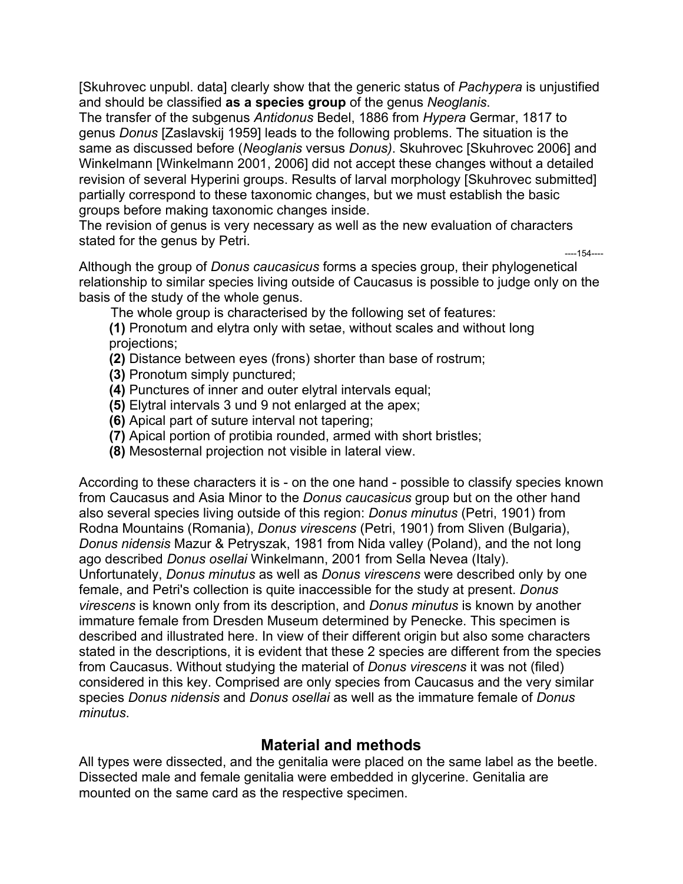[Skuhrovec unpubl. data] clearly show that the generic status of *Pachypera* is unjustified and should be classified **as a species group** of the genus *Neoglanis*.

The transfer of the subgenus *Antidonus* Bedel, 1886 from *Hypera* Germar, 1817 to genus *Donus* [Zaslavskij 1959] leads to the following problems. The situation is the same as discussed before (*Neoglanis* versus *Donus)*. Skuhrovec [Skuhrovec 2006] and Winkelmann [Winkelmann 2001, 2006] did not accept these changes without a detailed revision of several Hyperini groups. Results of larval morphology [Skuhrovec submitted] partially correspond to these taxonomic changes, but we must establish the basic groups before making taxonomic changes inside.

The revision of genus is very necessary as well as the new evaluation of characters stated for the genus by Petri.

Although the group of *Donus caucasicus* forms a species group, their phylogenetical relationship to similar species living outside of Caucasus is possible to judge only on the basis of the study of the whole genus.

----154----

The whole group is characterised by the following set of features:

**(1)** Pronotum and elytra only with setae, without scales and without long projections;

- **(2)** Distance between eyes (frons) shorter than base of rostrum;
- **(3)** Pronotum simply punctured;
- **(4)** Punctures of inner and outer elytral intervals equal;
- **(5)** Elytral intervals 3 und 9 not enlarged at the apex;
- **(6)** Apical part of suture interval not tapering;
- **(7)** Apical portion of protibia rounded, armed with short bristles;
- **(8)** Mesosternal projection not visible in lateral view.

According to these characters it is - on the one hand - possible to classify species known from Caucasus and Asia Minor to the *Donus caucasicus* group but on the other hand also several species living outside of this region: *Donus minutus* (Petri, 1901) from Rodna Mountains (Romania), *Donus virescens* (Petri, 1901) from Sliven (Bulgaria), *Donus nidensis* Mazur & Petryszak, 1981 from Nida valley (Poland), and the not long ago described *Donus osellai* Winkelmann, 2001 from Sella Nevea (Italy). Unfortunately, *Donus minutus* as well as *Donus virescens* were described only by one female, and Petri's collection is quite inaccessible for the study at present. *Donus virescens* is known only from its description, and *Donus minutus* is known by another immature female from Dresden Museum determined by Penecke. This specimen is described and illustrated here. In view of their different origin but also some characters stated in the descriptions, it is evident that these 2 species are different from the species from Caucasus. Without studying the material of *Donus virescens* it was not (filed) considered in this key. Comprised are only species from Caucasus and the very similar species *Donus nidensis* and *Donus osellai* as well as the immature female of *Donus minutus*.

# **Material and methods**

All types were dissected, and the genitalia were placed on the same label as the beetle. Dissected male and female genitalia were embedded in glycerine. Genitalia are mounted on the same card as the respective specimen.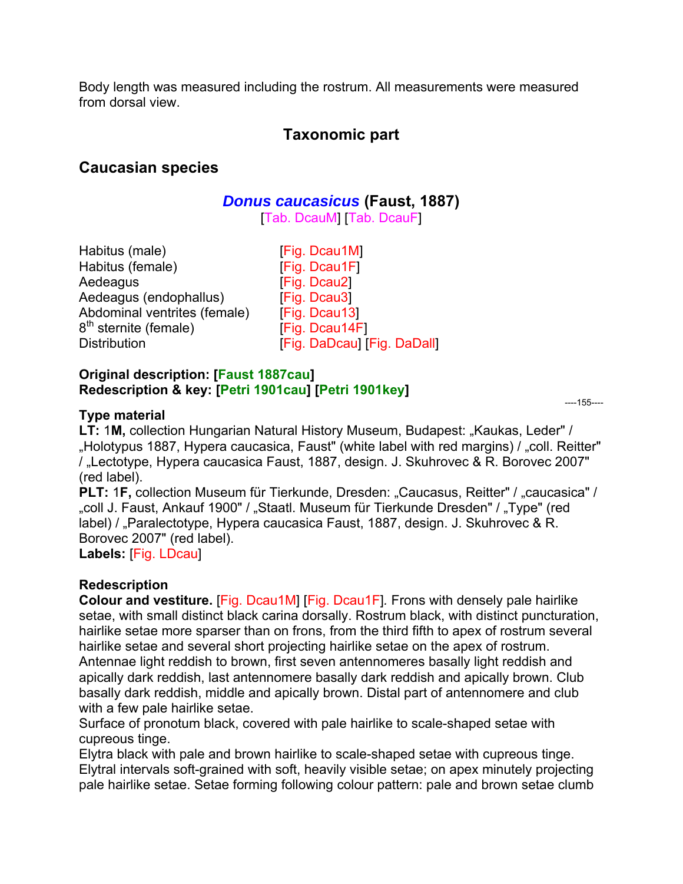Body length was measured including the rostrum. All measurements were measured from dorsal view.

# **Taxonomic part**

# **Caucasian species**

# *Donus caucasicus* **(Faust, 1887)**

[Tab. DcauM] [Tab. DcauF]

| [Fig. Dcau1M]               |
|-----------------------------|
| [Fig. Dcau1F]               |
| [Fig. Dcau2]                |
| [Fig. Dcau3]                |
| [Fig. Dcau13]               |
| [Fig. Dcau14F]              |
| [Fig. DaDcau] [Fig. DaDall] |
|                             |

#### **Original description: [Faust 1887cau] Redescription & key: [Petri 1901cau] [Petri 1901key]**

### **Type material**

----155----

LT: 1M, collection Hungarian Natural History Museum, Budapest: "Kaukas, Leder" / "Holotypus 1887, Hypera caucasica, Faust" (white label with red margins) / "coll. Reitter" / "Lectotype, Hypera caucasica Faust, 1887, design. J. Skuhrovec & R. Borovec 2007" (red label).

**PLT:** 1F, collection Museum für Tierkunde, Dresden: "Caucasus, Reitter" / "caucasica" / "coll J. Faust, Ankauf 1900" / "Staatl. Museum für Tierkunde Dresden" / "Type" (red label) / "Paralectotype, Hypera caucasica Faust, 1887, design. J. Skuhrovec & R. Borovec 2007" (red label).

**Labels:** [Fig. LDcau]

## **Redescription**

**Colour and vestiture.** [Fig. Dcau1M] [Fig. Dcau1F]*.* Frons with densely pale hairlike setae, with small distinct black carina dorsally. Rostrum black, with distinct puncturation, hairlike setae more sparser than on frons, from the third fifth to apex of rostrum several hairlike setae and several short projecting hairlike setae on the apex of rostrum. Antennae light reddish to brown, first seven antennomeres basally light reddish and apically dark reddish, last antennomere basally dark reddish and apically brown. Club basally dark reddish, middle and apically brown. Distal part of antennomere and club with a few pale hairlike setae.

Surface of pronotum black, covered with pale hairlike to scale-shaped setae with cupreous tinge.

Elytra black with pale and brown hairlike to scale-shaped setae with cupreous tinge. Elytral intervals soft-grained with soft, heavily visible setae; on apex minutely projecting pale hairlike setae. Setae forming following colour pattern: pale and brown setae clumb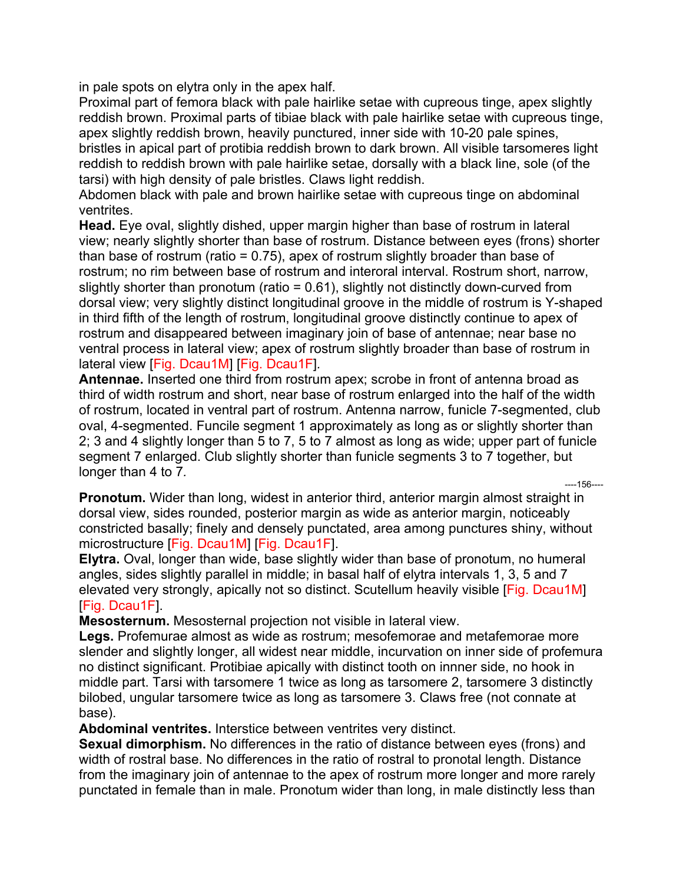in pale spots on elytra only in the apex half.

Proximal part of femora black with pale hairlike setae with cupreous tinge, apex slightly reddish brown. Proximal parts of tibiae black with pale hairlike setae with cupreous tinge, apex slightly reddish brown, heavily punctured, inner side with 10-20 pale spines, bristles in apical part of protibia reddish brown to dark brown. All visible tarsomeres light reddish to reddish brown with pale hairlike setae, dorsally with a black line, sole (of the tarsi) with high density of pale bristles. Claws light reddish.

Abdomen black with pale and brown hairlike setae with cupreous tinge on abdominal ventrites.

**Head.** Eye oval, slightly dished, upper margin higher than base of rostrum in lateral view; nearly slightly shorter than base of rostrum. Distance between eyes (frons) shorter than base of rostrum (ratio = 0.75), apex of rostrum slightly broader than base of rostrum; no rim between base of rostrum and interoral interval. Rostrum short, narrow, slightly shorter than pronotum (ratio = 0.61), slightly not distinctly down-curved from dorsal view; very slightly distinct longitudinal groove in the middle of rostrum is Y-shaped in third fifth of the length of rostrum, longitudinal groove distinctly continue to apex of rostrum and disappeared between imaginary join of base of antennae; near base no ventral process in lateral view; apex of rostrum slightly broader than base of rostrum in lateral view [Fig. Dcau1M] [Fig. Dcau1F]*.*

**Antennae.** Inserted one third from rostrum apex; scrobe in front of antenna broad as third of width rostrum and short, near base of rostrum enlarged into the half of the width of rostrum, located in ventral part of rostrum. Antenna narrow, funicle 7-segmented, club oval, 4-segmented. Funcile segment 1 approximately as long as or slightly shorter than 2; 3 and 4 slightly longer than 5 to 7, 5 to 7 almost as long as wide; upper part of funicle segment 7 enlarged. Club slightly shorter than funicle segments 3 to 7 together, but longer than 4 to 7*.* ----156----

**Pronotum.** Wider than long, widest in anterior third, anterior margin almost straight in dorsal view, sides rounded, posterior margin as wide as anterior margin, noticeably constricted basally; finely and densely punctated, area among punctures shiny, without microstructure [Fig. Dcau1M] [Fig. Dcau1F].

**Elytra.** Oval, longer than wide, base slightly wider than base of pronotum, no humeral angles, sides slightly parallel in middle; in basal half of elytra intervals 1, 3, 5 and 7 elevated very strongly, apically not so distinct. Scutellum heavily visible [Fig. Dcau1M] [Fig. Dcau1F].

**Mesosternum.** Mesosternal projection not visible in lateral view.

**Legs.** Profemurae almost as wide as rostrum; mesofemorae and metafemorae more slender and slightly longer, all widest near middle, incurvation on inner side of profemura no distinct significant. Protibiae apically with distinct tooth on innner side, no hook in middle part. Tarsi with tarsomere 1 twice as long as tarsomere 2, tarsomere 3 distinctly bilobed, ungular tarsomere twice as long as tarsomere 3. Claws free (not connate at base).

**Abdominal ventrites.** Interstice between ventrites very distinct.

**Sexual dimorphism.** No differences in the ratio of distance between eyes (frons) and width of rostral base. No differences in the ratio of rostral to pronotal length. Distance from the imaginary join of antennae to the apex of rostrum more longer and more rarely punctated in female than in male. Pronotum wider than long, in male distinctly less than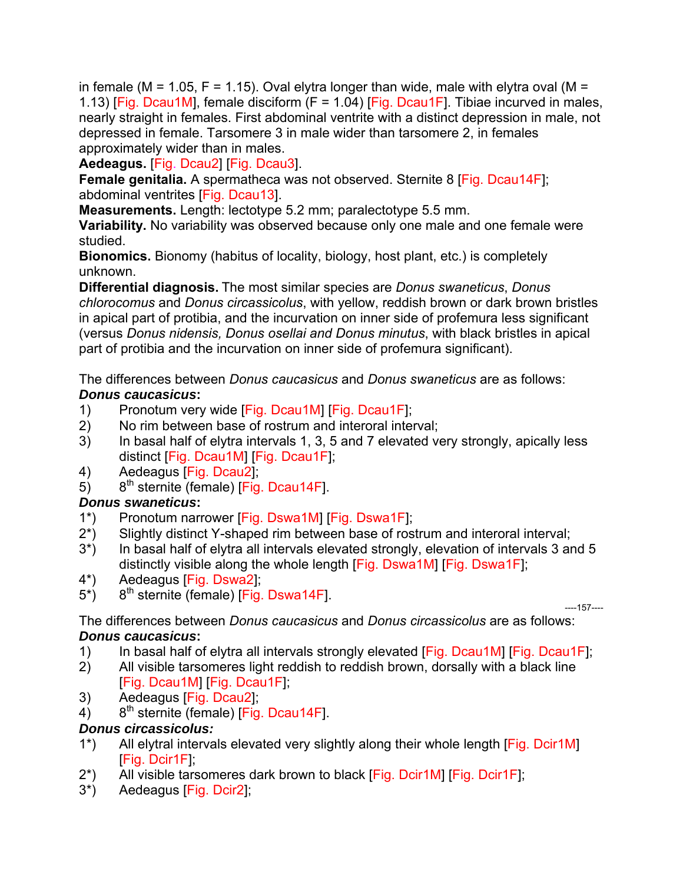in female (M = 1.05, F = 1.15). Oval elytra longer than wide, male with elytra oval (M = 1.13) [Fig. Dcau1M], female disciform (F = 1.04) [Fig. Dcau1F]. Tibiae incurved in males, nearly straight in females. First abdominal ventrite with a distinct depression in male, not depressed in female. Tarsomere 3 in male wider than tarsomere 2, in females approximately wider than in males.

**Aedeagus.** [Fig. Dcau2] [Fig. Dcau3].

**Female genitalia.** A spermatheca was not observed. Sternite 8 [Fig. Dcau14F]; abdominal ventrites [Fig. Dcau13].

**Measurements.** Length: lectotype 5.2 mm; paralectotype 5.5 mm.

**Variability.** No variability was observed because only one male and one female were studied.

**Bionomics.** Bionomy (habitus of locality, biology, host plant, etc.) is completely unknown.

**Differential diagnosis.** The most similar species are *Donus swaneticus*, *Donus chlorocomus* and *Donus circassicolus*, with yellow, reddish brown or dark brown bristles in apical part of protibia, and the incurvation on inner side of profemura less significant (versus *Donus nidensis, Donus osellai and Donus minutus*, with black bristles in apical part of protibia and the incurvation on inner side of profemura significant).

The differences between *Donus caucasicus* and *Donus swaneticus* are as follows: *Donus caucasicus***:** 

- 1) Pronotum very wide [Fig. Dcau1M] [Fig. Dcau1F];
- 2) No rim between base of rostrum and interoral interval;
- 3) In basal half of elytra intervals 1, 3, 5 and 7 elevated very strongly, apically less distinct [Fig. Dcau1M] [Fig. Dcau1F];
- 4) Aedeagus [Fig. Dcau2];
- 5)  $8<sup>th</sup>$  sternite (female) [Fig. Dcau14F].

# *Donus swaneticus***:**

- 1\*) Pronotum narrower [Fig. Dswa1M] [Fig. Dswa1F];
- 2\*) Slightly distinct Y-shaped rim between base of rostrum and interoral interval;
- 3\*) In basal half of elytra all intervals elevated strongly, elevation of intervals 3 and 5 distinctly visible along the whole length [Fig. Dswa1M] [Fig. Dswa1F];
- 4\*) Aedeagus [Fig. Dswa2];
- $5^*$ ) 8<sup>th</sup> sternite (female) [Fig. Dswa14F].

----157----

The differences between *Donus caucasicus* and *Donus circassicolus* are as follows: *Donus caucasicus***:** 

- 1) In basal half of elytra all intervals strongly elevated [Fig. Dcau1M] [Fig. Dcau1F];
- 2) All visible tarsomeres light reddish to reddish brown, dorsally with a black line [Fig. Dcau1M] [Fig. Dcau1F];
- 3) Aedeagus [Fig. Dcau2];
- $4)$  8<sup>th</sup> sternite (female) [Fig. Dcau14F].

# *Donus circassicolus:*

- 1\*) All elytral intervals elevated very slightly along their whole length [Fig. Dcir1M] [Fig. Dcir1F];
- 2\*) All visible tarsomeres dark brown to black [Fig. Dcir1M] [Fig. Dcir1F];
- 3\*) Aedeagus [Fig. Dcir2];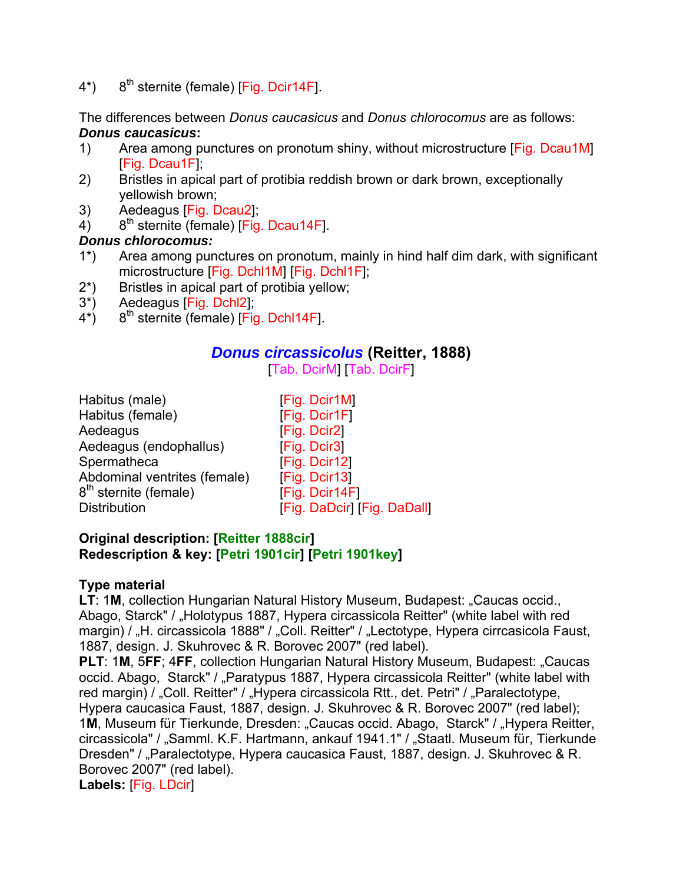4\*) 8<sup>th</sup> sternite (female) [Fig. Dcir14F].

The differences between *Donus caucasicus* and *Donus chlorocomus* are as follows: *Donus caucasicus***:** 

- 1) Area among punctures on pronotum shiny, without microstructure [Fig. Dcau1M] [Fig. Dcau1F];
- 2) Bristles in apical part of protibia reddish brown or dark brown, exceptionally yellowish brown;
- 3) Aedeagus [Fig. Dcau2];
- 4)  $8<sup>th</sup>$  sternite (female) [Fig. Dcau14F].

### *Donus chlorocomus:*

- 1\*) Area among punctures on pronotum, mainly in hind half dim dark, with significant microstructure [Fig. Dchl1M] [Fig. Dchl1F];
- 2\*) Bristles in apical part of protibia yellow;
- 3\*) Aedeagus [Fig. Dchl2];
- $4^*$ ) 8<sup>th</sup> sternite (female) [Fig. Dchl14F].

## *Donus circassicolus* **(Reitter, 1888)**

[Tab. DcirM] [Tab. DcirF]

| Habitus (male)                    | [Fig. Dcir1M]               |
|-----------------------------------|-----------------------------|
| Habitus (female)                  | [Fig. Dcir1F]               |
| Aedeagus                          | [Fig. Dcir2]                |
| Aedeagus (endophallus)            | [Fig. Dcir3]                |
| Spermatheca                       | [Fig. Dcir12]               |
| Abdominal ventrites (female)      | [Fig. Dcir13]               |
| 8 <sup>th</sup> sternite (female) | [Fig. Dcir14F]              |
| <b>Distribution</b>               | [Fig. DaDcir] [Fig. DaDall] |

#### **Original description: [Reitter 1888cir] Redescription & key: [Petri 1901cir] [Petri 1901key]**

## **Type material**

**LT: 1M, collection Hungarian Natural History Museum, Budapest: "Caucas occid.,** Abago, Starck" / "Holotypus 1887, Hypera circassicola Reitter" (white label with red margin) / "H. circassicola 1888" / "Coll. Reitter" / "Lectotype, Hypera cirrcasicola Faust, 1887, design. J. Skuhrovec & R. Borovec 2007" (red label).

**PLT: 1M, 5FF; 4FF, collection Hungarian Natural History Museum, Budapest: "Caucas** occid. Abago, Starck" / "Paratypus 1887, Hypera circassicola Reitter" (white label with red margin) / "Coll. Reitter" / "Hypera circassicola Rtt., det. Petri" / "Paralectotype, Hypera caucasica Faust, 1887, design. J. Skuhrovec & R. Borovec 2007" (red label); 1M, Museum für Tierkunde, Dresden: "Caucas occid. Abago, Starck" / "Hypera Reitter, circassicola" / "Samml. K.F. Hartmann, ankauf 1941.1" / "Staatl. Museum für, Tierkunde Dresden" / "Paralectotype, Hypera caucasica Faust, 1887, design. J. Skuhrovec & R. Borovec 2007" (red label).

**Labels:** [Fig. LDcir]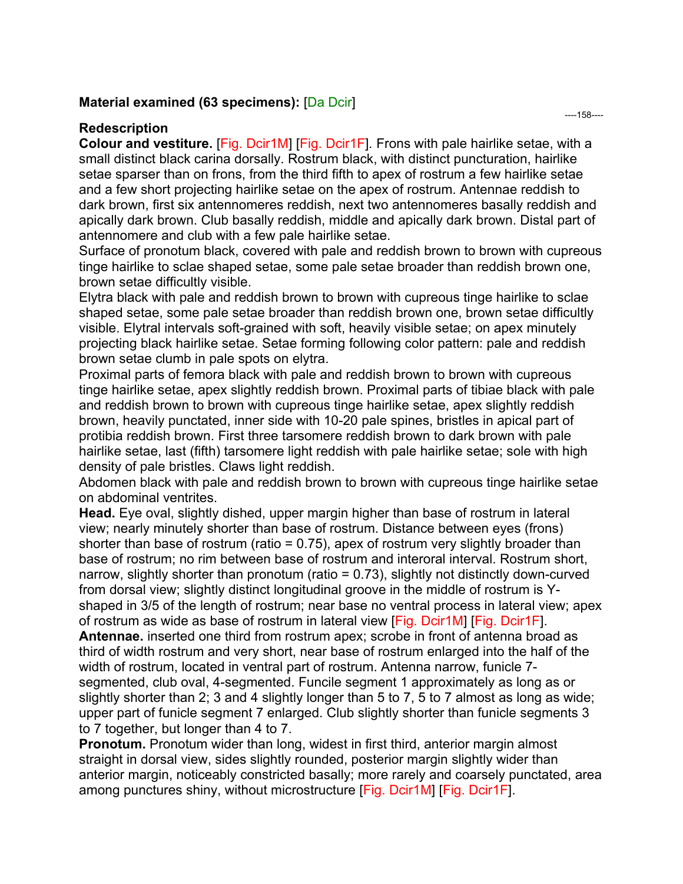#### **Material examined (63 specimens):** [Da Dcir]

#### **Redescription**

**Colour and vestiture.** [Fig. Dcir1M] [Fig. Dcir1F]*.* Frons with pale hairlike setae, with a small distinct black carina dorsally. Rostrum black, with distinct puncturation, hairlike setae sparser than on frons, from the third fifth to apex of rostrum a few hairlike setae and a few short projecting hairlike setae on the apex of rostrum. Antennae reddish to dark brown, first six antennomeres reddish, next two antennomeres basally reddish and apically dark brown. Club basally reddish, middle and apically dark brown. Distal part of antennomere and club with a few pale hairlike setae.

Surface of pronotum black, covered with pale and reddish brown to brown with cupreous tinge hairlike to sclae shaped setae, some pale setae broader than reddish brown one, brown setae difficultly visible.

Elytra black with pale and reddish brown to brown with cupreous tinge hairlike to sclae shaped setae, some pale setae broader than reddish brown one, brown setae difficultly visible. Elytral intervals soft-grained with soft, heavily visible setae; on apex minutely projecting black hairlike setae. Setae forming following color pattern: pale and reddish brown setae clumb in pale spots on elytra.

Proximal parts of femora black with pale and reddish brown to brown with cupreous tinge hairlike setae, apex slightly reddish brown. Proximal parts of tibiae black with pale and reddish brown to brown with cupreous tinge hairlike setae, apex slightly reddish brown, heavily punctated, inner side with 10-20 pale spines, bristles in apical part of protibia reddish brown. First three tarsomere reddish brown to dark brown with pale hairlike setae, last (fifth) tarsomere light reddish with pale hairlike setae; sole with high density of pale bristles. Claws light reddish.

Abdomen black with pale and reddish brown to brown with cupreous tinge hairlike setae on abdominal ventrites.

**Head.** Eye oval, slightly dished, upper margin higher than base of rostrum in lateral view; nearly minutely shorter than base of rostrum. Distance between eyes (frons) shorter than base of rostrum (ratio =  $0.75$ ), apex of rostrum very slightly broader than base of rostrum; no rim between base of rostrum and interoral interval. Rostrum short, narrow, slightly shorter than pronotum (ratio = 0.73), slightly not distinctly down-curved from dorsal view; slightly distinct longitudinal groove in the middle of rostrum is Yshaped in 3/5 of the length of rostrum; near base no ventral process in lateral view; apex of rostrum as wide as base of rostrum in lateral view [Fig. Dcir1M] [Fig. Dcir1F]. **Antennae.** inserted one third from rostrum apex; scrobe in front of antenna broad as

third of width rostrum and very short, near base of rostrum enlarged into the half of the width of rostrum, located in ventral part of rostrum. Antenna narrow, funicle 7 segmented, club oval, 4-segmented. Funcile segment 1 approximately as long as or slightly shorter than 2; 3 and 4 slightly longer than 5 to 7, 5 to 7 almost as long as wide; upper part of funicle segment 7 enlarged. Club slightly shorter than funicle segments 3 to 7 together, but longer than 4 to 7.

**Pronotum.** Pronotum wider than long, widest in first third, anterior margin almost straight in dorsal view, sides slightly rounded, posterior margin slightly wider than anterior margin, noticeably constricted basally; more rarely and coarsely punctated, area among punctures shiny, without microstructure [Fig. Dcir1M] [Fig. Dcir1F].

----158----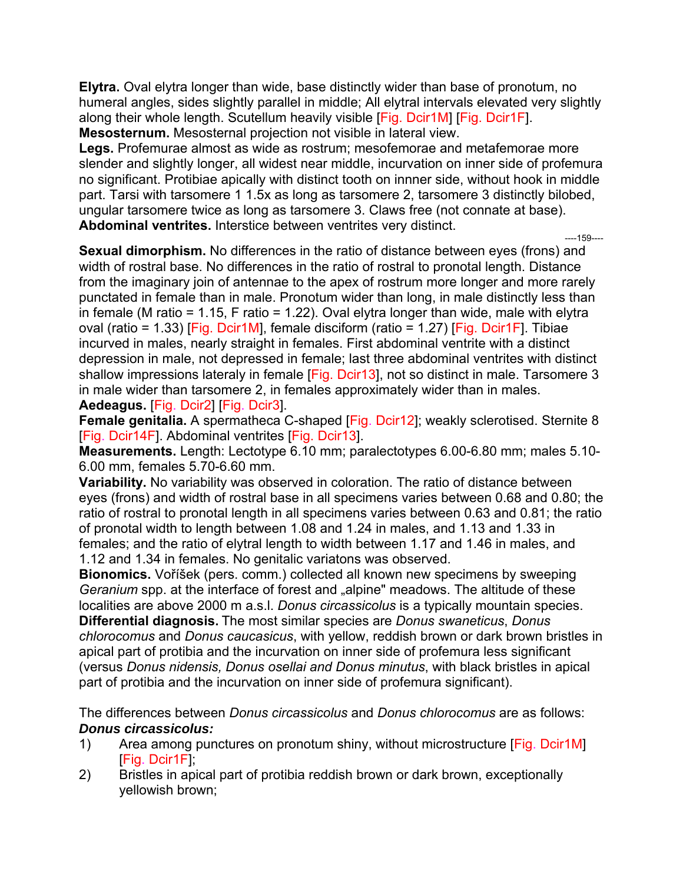**Elytra.** Oval elytra longer than wide, base distinctly wider than base of pronotum, no humeral angles, sides slightly parallel in middle; All elytral intervals elevated very slightly along their whole length. Scutellum heavily visible [Fig. Dcir1M] [Fig. Dcir1F]. **Mesosternum.** Mesosternal projection not visible in lateral view.

**Legs.** Profemurae almost as wide as rostrum; mesofemorae and metafemorae more slender and slightly longer, all widest near middle, incurvation on inner side of profemura no significant. Protibiae apically with distinct tooth on innner side, without hook in middle part. Tarsi with tarsomere 1 1.5x as long as tarsomere 2, tarsomere 3 distinctly bilobed, ungular tarsomere twice as long as tarsomere 3. Claws free (not connate at base). **Abdominal ventrites.** Interstice between ventrites very distinct. ----159----

**Sexual dimorphism.** No differences in the ratio of distance between eyes (frons) and width of rostral base. No differences in the ratio of rostral to pronotal length. Distance from the imaginary join of antennae to the apex of rostrum more longer and more rarely punctated in female than in male. Pronotum wider than long, in male distinctly less than in female (M ratio = 1.15, F ratio = 1.22). Oval elytra longer than wide, male with elytra oval (ratio = 1.33) [Fig. Dcir1M], female disciform (ratio = 1.27) [Fig. Dcir1F]. Tibiae incurved in males, nearly straight in females. First abdominal ventrite with a distinct depression in male, not depressed in female; last three abdominal ventrites with distinct shallow impressions lateraly in female [Fig. Dcir13], not so distinct in male. Tarsomere 3 in male wider than tarsomere 2, in females approximately wider than in males. **Aedeagus.** [Fig. Dcir2] [Fig. Dcir3].

**Female genitalia.** A spermatheca C-shaped [Fig. Dcir12]; weakly sclerotised. Sternite 8 [Fig. Dcir14F]. Abdominal ventrites [Fig. Dcir13].

**Measurements.** Length: Lectotype 6.10 mm; paralectotypes 6.00-6.80 mm; males 5.10- 6.00 mm, females 5.70-6.60 mm.

**Variability.** No variability was observed in coloration. The ratio of distance between eyes (frons) and width of rostral base in all specimens varies between 0.68 and 0.80; the ratio of rostral to pronotal length in all specimens varies between 0.63 and 0.81; the ratio of pronotal width to length between 1.08 and 1.24 in males, and 1.13 and 1.33 in females; and the ratio of elytral length to width between 1.17 and 1.46 in males, and 1.12 and 1.34 in females. No genitalic variatons was observed.

**Bionomics.** Voříšek (pers. comm.) collected all known new specimens by sweeping *Geranium* spp. at the interface of forest and "alpine" meadows. The altitude of these localities are above 2000 m a.s.l. *Donus circassicolus* is a typically mountain species. **Differential diagnosis.** The most similar species are *Donus swaneticus*, *Donus chlorocomus* and *Donus caucasicus*, with yellow, reddish brown or dark brown bristles in apical part of protibia and the incurvation on inner side of profemura less significant (versus *Donus nidensis, Donus osellai and Donus minutus*, with black bristles in apical part of protibia and the incurvation on inner side of profemura significant).

The differences between *Donus circassicolus* and *Donus chlorocomus* are as follows: *Donus circassicolus:* 

- 1) Area among punctures on pronotum shiny, without microstructure [Fig. Dcir1M] [Fig. Dcir1F];
- 2) Bristles in apical part of protibia reddish brown or dark brown, exceptionally yellowish brown;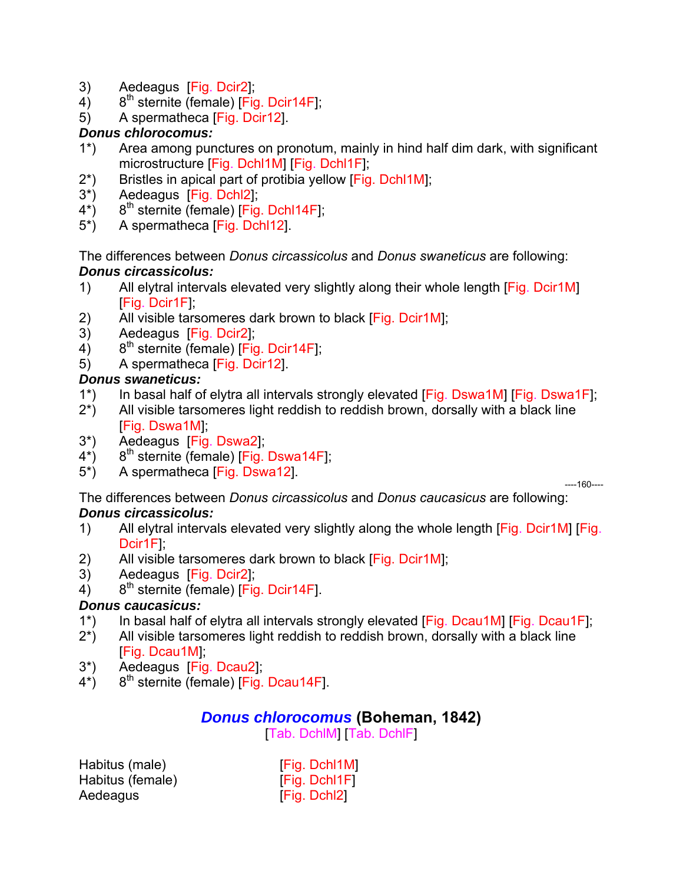- 3) Aedeagus [Fig. Dcir2];
- 4)  $8^{th}$  sternite (female) [Fig. Dcir14F];
- 5) A spermatheca [Fig. Dcir12].

## *Donus chlorocomus:*

- 1\*) Area among punctures on pronotum, mainly in hind half dim dark, with significant microstructure [Fig. Dchl1M] [Fig. Dchl1F];
- 2\*) Bristles in apical part of protibia yellow [Fig. Dchl1M];
- 3\*) Aedeagus [Fig. Dchl2];
- $4^*$ ) 8<sup>th</sup> sternite (female) [Fig. Dchl14F];
- 5\*) A spermatheca [Fig. Dchl12].

The differences between *Donus circassicolus* and *Donus swaneticus* are following: *Donus circassicolus:* 

- 1) All elytral intervals elevated very slightly along their whole length [Fig. Dcir1M] [Fig. Dcir1F];
- 2) All visible tarsomeres dark brown to black [Fig. Dcir1M];
- 3) Aedeagus [Fig. Dcir2];
- $4)$  8<sup>th</sup> sternite (female) [Fig. Dcir14F];
- 5) A spermatheca [Fig. Dcir12].

## *Donus swaneticus:*

- 1\*) In basal half of elytra all intervals strongly elevated [Fig. Dswa1M] [Fig. Dswa1F];
- 2\*) All visible tarsomeres light reddish to reddish brown, dorsally with a black line [Fig. Dswa1M];
- 3\*) Aedeagus [Fig. Dswa2];
- $4^{\star}$ ) 8<sup>th</sup> sternite (female) [Fig. Dswa14F];
- 5\*) A spermatheca [Fig. Dswa12].

----160----

The differences between *Donus circassicolus* and *Donus caucasicus* are following: *Donus circassicolus:* 

- 1) All elytral intervals elevated very slightly along the whole length [Fig. Dcir1M] [Fig. Dcir1F];
- 2) All visible tarsomeres dark brown to black [Fig. Dcir1M];
- 3) Aedeagus [Fig. Dcir2];
- $4)$  8<sup>th</sup> sternite (female) [Fig. Dcir14F].

# *Donus caucasicus:*

- 1\*) In basal half of elytra all intervals strongly elevated [Fig. Dcau1M] [Fig. Dcau1F];
- 2\*) All visible tarsomeres light reddish to reddish brown, dorsally with a black line [Fig. Dcau1M];
- 3\*) Aedeagus [Fig. Dcau2];
- $4^*$ ) 8<sup>th</sup> sternite (female) [Fig. Dcau14F].

# *Donus chlorocomus* **(Boheman, 1842)**

[Tab. DchlM] [Tab. DchlF]

| Habitus (male)   | [Fig. Dchl1M]       |
|------------------|---------------------|
| Habitus (female) | <b>Fig. Dchi1F1</b> |
| Aedeagus         | [Fig. Dchl2]        |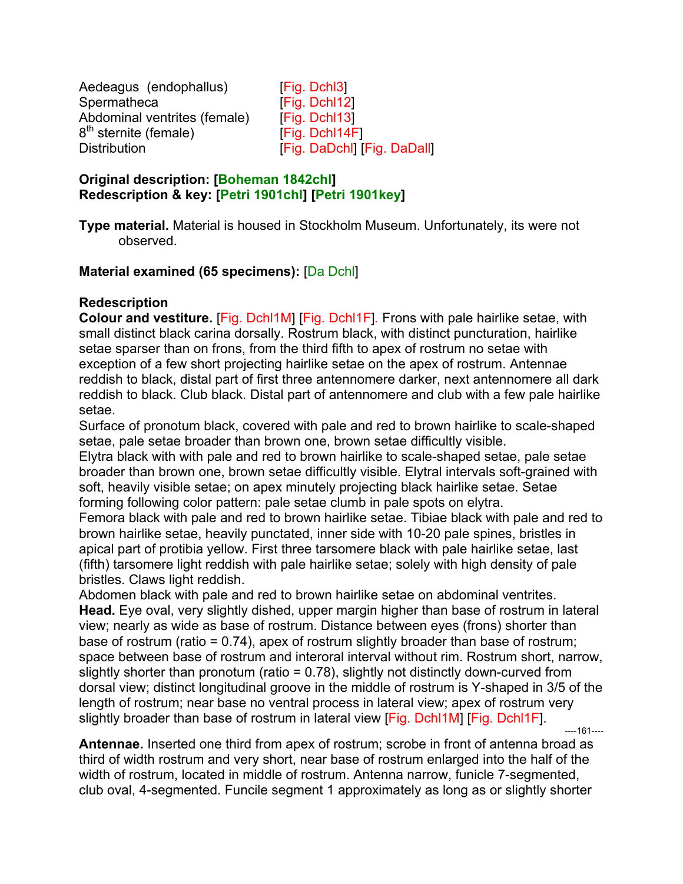Aedeagus (endophallus) [Fig. Dchl3] Spermatheca [Fig. Dchl12] Abdominal ventrites (female) [Fig. Dchl13] 8<sup>th</sup> sternite (female) [Fig. Dchl14F] Distribution **Example 2** [Fig. DaDchl] [Fig. DaDall]

#### **Original description: [Boheman 1842chl] Redescription & key: [Petri 1901chl] [Petri 1901key]**

## **Material examined (65 specimens):** [Da Dchl]

## **Redescription**

**Colour and vestiture.** [Fig. Dchl1M] [Fig. Dchl1F]*.* Frons with pale hairlike setae, with small distinct black carina dorsally. Rostrum black, with distinct puncturation, hairlike setae sparser than on frons, from the third fifth to apex of rostrum no setae with exception of a few short projecting hairlike setae on the apex of rostrum. Antennae reddish to black, distal part of first three antennomere darker, next antennomere all dark reddish to black. Club black. Distal part of antennomere and club with a few pale hairlike setae.

Surface of pronotum black, covered with pale and red to brown hairlike to scale-shaped setae, pale setae broader than brown one, brown setae difficultly visible.

Elytra black with with pale and red to brown hairlike to scale-shaped setae, pale setae broader than brown one, brown setae difficultly visible. Elytral intervals soft-grained with soft, heavily visible setae; on apex minutely projecting black hairlike setae. Setae forming following color pattern: pale setae clumb in pale spots on elytra.

Femora black with pale and red to brown hairlike setae. Tibiae black with pale and red to brown hairlike setae, heavily punctated, inner side with 10-20 pale spines, bristles in apical part of protibia yellow. First three tarsomere black with pale hairlike setae, last (fifth) tarsomere light reddish with pale hairlike setae; solely with high density of pale bristles. Claws light reddish.

Abdomen black with pale and red to brown hairlike setae on abdominal ventrites. **Head.** Eye oval, very slightly dished, upper margin higher than base of rostrum in lateral view; nearly as wide as base of rostrum. Distance between eyes (frons) shorter than base of rostrum (ratio = 0.74), apex of rostrum slightly broader than base of rostrum; space between base of rostrum and interoral interval without rim. Rostrum short, narrow, slightly shorter than pronotum (ratio = 0.78), slightly not distinctly down-curved from dorsal view; distinct longitudinal groove in the middle of rostrum is Y-shaped in 3/5 of the length of rostrum; near base no ventral process in lateral view; apex of rostrum very slightly broader than base of rostrum in lateral view [Fig. Dchl1M] [Fig. Dchl1F]. ----161----

**Antennae.** Inserted one third from apex of rostrum; scrobe in front of antenna broad as third of width rostrum and very short, near base of rostrum enlarged into the half of the width of rostrum, located in middle of rostrum. Antenna narrow, funicle 7-segmented, club oval, 4-segmented. Funcile segment 1 approximately as long as or slightly shorter

**Type material.** Material is housed in Stockholm Museum. Unfortunately, its were not observed.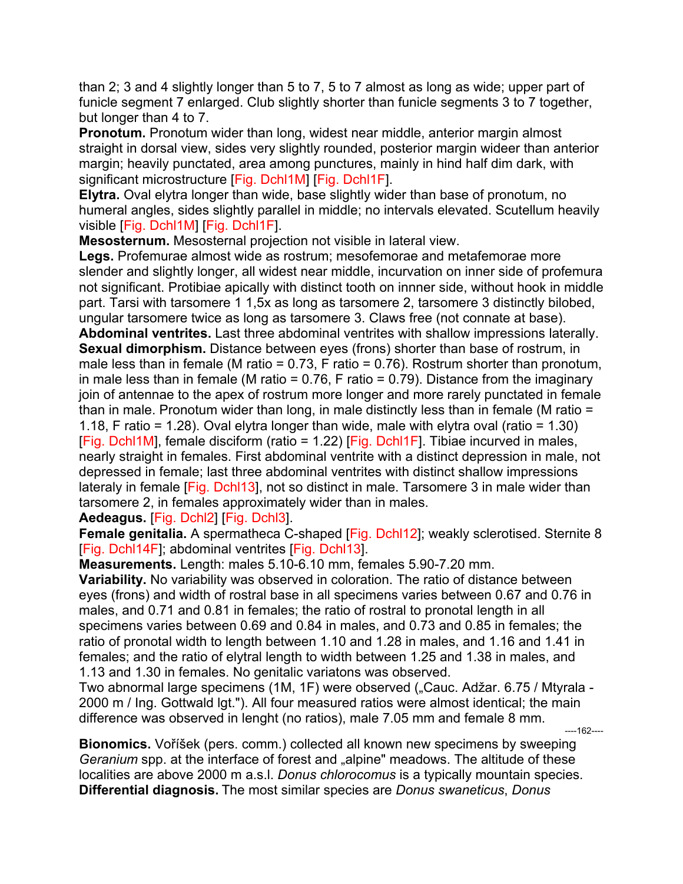than 2; 3 and 4 slightly longer than 5 to 7, 5 to 7 almost as long as wide; upper part of funicle segment 7 enlarged. Club slightly shorter than funicle segments 3 to 7 together, but longer than 4 to 7.

**Pronotum.** Pronotum wider than long, widest near middle, anterior margin almost straight in dorsal view, sides very slightly rounded, posterior margin wideer than anterior margin; heavily punctated, area among punctures, mainly in hind half dim dark, with significant microstructure [Fig. Dchl1M] [Fig. Dchl1F].

**Elytra.** Oval elytra longer than wide, base slightly wider than base of pronotum, no humeral angles, sides slightly parallel in middle; no intervals elevated. Scutellum heavily visible [Fig. Dchl1M] [Fig. Dchl1F].

**Mesosternum.** Mesosternal projection not visible in lateral view.

**Legs.** Profemurae almost wide as rostrum; mesofemorae and metafemorae more slender and slightly longer, all widest near middle, incurvation on inner side of profemura not significant. Protibiae apically with distinct tooth on innner side, without hook in middle part. Tarsi with tarsomere 1 1,5x as long as tarsomere 2, tarsomere 3 distinctly bilobed, ungular tarsomere twice as long as tarsomere 3. Claws free (not connate at base). **Abdominal ventrites.** Last three abdominal ventrites with shallow impressions laterally. **Sexual dimorphism.** Distance between eyes (frons) shorter than base of rostrum, in male less than in female (M ratio =  $0.73$ , F ratio =  $0.76$ ). Rostrum shorter than pronotum, in male less than in female (M ratio =  $0.76$ , F ratio =  $0.79$ ). Distance from the imaginary join of antennae to the apex of rostrum more longer and more rarely punctated in female than in male. Pronotum wider than long, in male distinctly less than in female (M ratio = 1.18, F ratio = 1.28). Oval elytra longer than wide, male with elytra oval (ratio = 1.30) [Fig. Dchl1M], female disciform (ratio = 1.22) [Fig. Dchl1F]. Tibiae incurved in males, nearly straight in females. First abdominal ventrite with a distinct depression in male, not depressed in female; last three abdominal ventrites with distinct shallow impressions lateraly in female [Fig. Dchl13], not so distinct in male. Tarsomere 3 in male wider than tarsomere 2, in females approximately wider than in males.

**Aedeagus.** [Fig. Dchl2] [Fig. Dchl3].

**Female genitalia.** A spermatheca C-shaped [Fig. Dchl12]; weakly sclerotised. Sternite 8 [Fig. Dchl14F]; abdominal ventrites [Fig. Dchl13].

**Measurements.** Length: males 5.10-6.10 mm, females 5.90-7.20 mm.

**Variability.** No variability was observed in coloration. The ratio of distance between eyes (frons) and width of rostral base in all specimens varies between 0.67 and 0.76 in males, and 0.71 and 0.81 in females; the ratio of rostral to pronotal length in all specimens varies between 0.69 and 0.84 in males, and 0.73 and 0.85 in females; the ratio of pronotal width to length between 1.10 and 1.28 in males, and 1.16 and 1.41 in females; and the ratio of elytral length to width between 1.25 and 1.38 in males, and 1.13 and 1.30 in females. No genitalic variatons was observed.

Two abnormal large specimens (1M, 1F) were observed ("Cauc. Adžar. 6.75 / Mtyrala -2000 m / Ing. Gottwald lgt."). All four measured ratios were almost identical; the main difference was observed in lenght (no ratios), male 7.05 mm and female 8 mm. ----162----

**Bionomics.** Voříšek (pers. comm.) collected all known new specimens by sweeping *Geranium* spp. at the interface of forest and "alpine" meadows. The altitude of these localities are above 2000 m a.s.l. *Donus chlorocomus* is a typically mountain species. **Differential diagnosis.** The most similar species are *Donus swaneticus*, *Donus*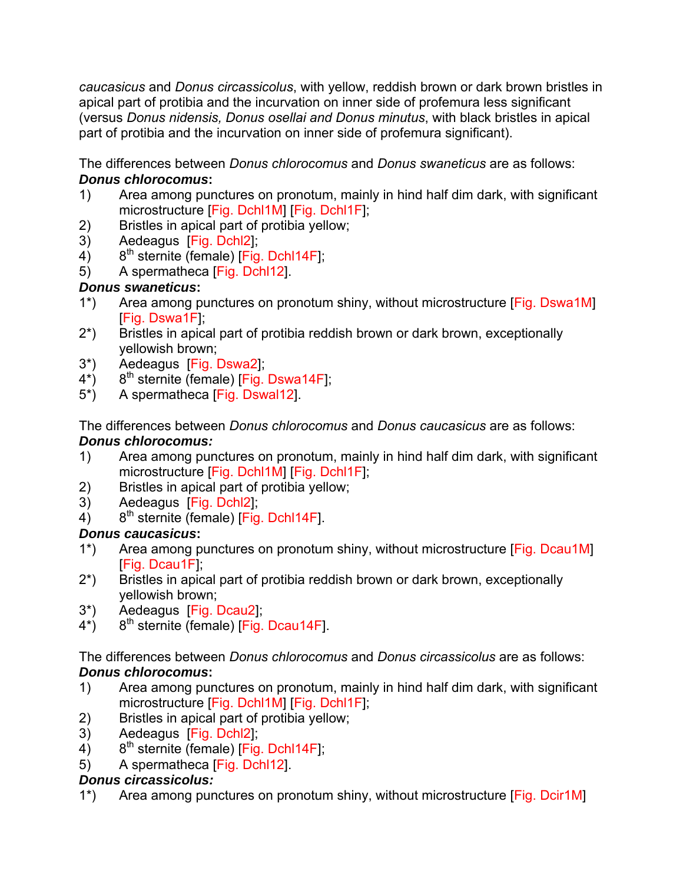*caucasicus* and *Donus circassicolus*, with yellow, reddish brown or dark brown bristles in apical part of protibia and the incurvation on inner side of profemura less significant (versus *Donus nidensis, Donus osellai and Donus minutus*, with black bristles in apical part of protibia and the incurvation on inner side of profemura significant).

The differences between *Donus chlorocomus* and *Donus swaneticus* are as follows: *Donus chlorocomus***:** 

- 1) Area among punctures on pronotum, mainly in hind half dim dark, with significant microstructure [Fig. Dchl1M] [Fig. Dchl1F];
- 2) Bristles in apical part of protibia yellow;
- 3) Aedeagus [Fig. Dchl2];
- 4)  $8^{th}$  sternite (female) [Fig. Dchl14F];
- 5) A spermatheca [Fig. Dchl12].

## *Donus swaneticus***:**

- 1<sup>\*</sup>) Area among punctures on pronotum shiny, without microstructure [Fig. Dswa1M] [Fig. Dswa1F];
- 2\*) Bristles in apical part of protibia reddish brown or dark brown, exceptionally yellowish brown;
- 3\*) Aedeagus [Fig. Dswa2];
- $4^*$ ) 8<sup>th</sup> sternite (female) [Fig. Dswa14F];
- 5\*) A spermatheca [Fig. Dswal12].

The differences between *Donus chlorocomus* and *Donus caucasicus* are as follows: *Donus chlorocomus:* 

- 1) Area among punctures on pronotum, mainly in hind half dim dark, with significant microstructure [Fig. Dchl1M] [Fig. Dchl1F];
- 2) Bristles in apical part of protibia yellow;
- 3) Aedeagus [Fig. Dchl2];
- 4)  $8^{th}$  sternite (female) [Fig. Dchl14F].

## *Donus caucasicus***:**

- 1\*) Area among punctures on pronotum shiny, without microstructure [Fig. Dcau1M] [Fig. Dcau1F];
- 2\*) Bristles in apical part of protibia reddish brown or dark brown, exceptionally yellowish brown;
- 3\*) Aedeagus [Fig. Dcau2];
- $4^*$ ) 8<sup>th</sup> sternite (female) [Fig. Dcau14F].

The differences between *Donus chlorocomus* and *Donus circassicolus* are as follows: *Donus chlorocomus***:** 

- 1) Area among punctures on pronotum, mainly in hind half dim dark, with significant microstructure [Fig. Dchl1M] [Fig. Dchl1F];
- 2) Bristles in apical part of protibia yellow;
- 3) Aedeagus [Fig. Dchl2];
- $4)$  8<sup>th</sup> sternite (female) [Fig. Dchl14F];
- 5) A spermatheca [Fig. Dchl12].

# *Donus circassicolus:*

1\*) Area among punctures on pronotum shiny, without microstructure [Fig. Dcir1M]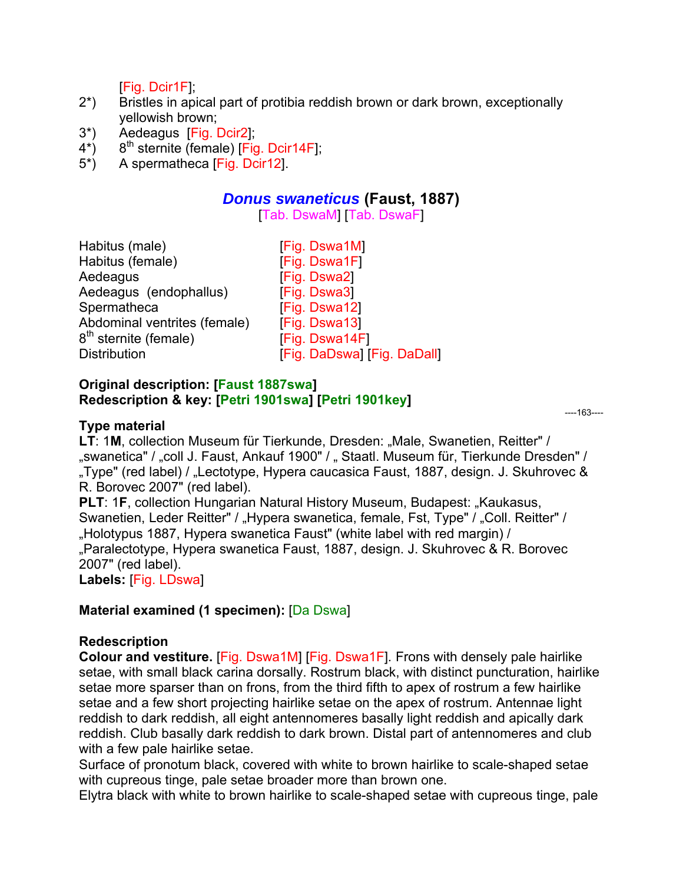[Fig. Dcir1F];

- 2\*) Bristles in apical part of protibia reddish brown or dark brown, exceptionally yellowish brown;
- 3\*) Aedeagus [Fig. Dcir2];
- $4^*$ ) 8<sup>th</sup> sternite (female) [Fig. Dcir14F];
- 5\*) A spermatheca [Fig. Dcir12].

## *Donus swaneticus* **(Faust, 1887)**

[Tab. DswaM] [Tab. DswaF]

| Habitus (male)               | [Fig. Dswa1M]               |
|------------------------------|-----------------------------|
| Habitus (female)             | [Fig. Dswa1F]               |
| Aedeagus                     | [Fig. Dswa2]                |
| Aedeagus (endophallus)       | [Fig. Dswa3]                |
| Spermatheca                  | [Fig. Dswa12]               |
| Abdominal ventrites (female) | [Fig. Dswa13]               |
| $8th$ sternite (female)      | [Fig. Dswa14F]              |
| <b>Distribution</b>          | [Fig. DaDswa] [Fig. DaDall] |

#### **Original description: [Faust 1887swa] Redescription & key: [Petri 1901swa] [Petri 1901key]**

----163----

#### **Type material**

**LT: 1M, collection Museum für Tierkunde, Dresden: "Male, Swanetien, Reitter" /** "swanetica" / "coll J. Faust, Ankauf 1900" / " Staatl. Museum für, Tierkunde Dresden" / "Type" (red label) / "Lectotype, Hypera caucasica Faust, 1887, design. J. Skuhrovec & R. Borovec 2007" (red label).

**PLT: 1F, collection Hungarian Natural History Museum, Budapest: "Kaukasus,** Swanetien, Leder Reitter" / "Hypera swanetica, female, Fst, Type" / "Coll. Reitter" / "Holotypus 1887, Hypera swanetica Faust" (white label with red margin) / "Paralectotype, Hypera swanetica Faust, 1887, design. J. Skuhrovec & R. Borovec 2007" (red label).

**Labels:** [Fig. LDswa]

## **Material examined (1 specimen): [Da Dswa]**

#### **Redescription**

**Colour and vestiture.** [Fig. Dswa1M] [Fig. Dswa1F]*.* Frons with densely pale hairlike setae, with small black carina dorsally. Rostrum black, with distinct puncturation, hairlike setae more sparser than on frons, from the third fifth to apex of rostrum a few hairlike setae and a few short projecting hairlike setae on the apex of rostrum. Antennae light reddish to dark reddish, all eight antennomeres basally light reddish and apically dark reddish. Club basally dark reddish to dark brown. Distal part of antennomeres and club with a few pale hairlike setae.

Surface of pronotum black, covered with white to brown hairlike to scale-shaped setae with cupreous tinge, pale setae broader more than brown one.

Elytra black with white to brown hairlike to scale-shaped setae with cupreous tinge, pale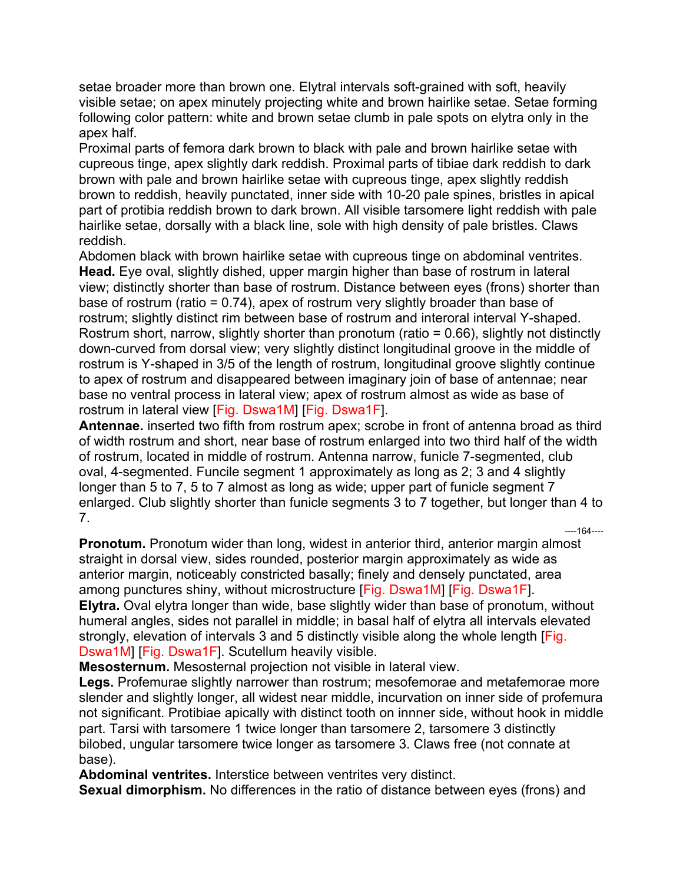setae broader more than brown one. Elytral intervals soft-grained with soft, heavily visible setae; on apex minutely projecting white and brown hairlike setae. Setae forming following color pattern: white and brown setae clumb in pale spots on elytra only in the apex half.

Proximal parts of femora dark brown to black with pale and brown hairlike setae with cupreous tinge, apex slightly dark reddish. Proximal parts of tibiae dark reddish to dark brown with pale and brown hairlike setae with cupreous tinge, apex slightly reddish brown to reddish, heavily punctated, inner side with 10-20 pale spines, bristles in apical part of protibia reddish brown to dark brown. All visible tarsomere light reddish with pale hairlike setae, dorsally with a black line, sole with high density of pale bristles. Claws reddish.

Abdomen black with brown hairlike setae with cupreous tinge on abdominal ventrites. **Head.** Eye oval, slightly dished, upper margin higher than base of rostrum in lateral view; distinctly shorter than base of rostrum. Distance between eyes (frons) shorter than base of rostrum (ratio = 0.74), apex of rostrum very slightly broader than base of rostrum; slightly distinct rim between base of rostrum and interoral interval Y-shaped. Rostrum short, narrow, slightly shorter than pronotum (ratio = 0.66), slightly not distinctly down-curved from dorsal view; very slightly distinct longitudinal groove in the middle of rostrum is Y-shaped in 3/5 of the length of rostrum, longitudinal groove slightly continue to apex of rostrum and disappeared between imaginary join of base of antennae; near base no ventral process in lateral view; apex of rostrum almost as wide as base of rostrum in lateral view [Fig. Dswa1M] [Fig. Dswa1F].

**Antennae.** inserted two fifth from rostrum apex; scrobe in front of antenna broad as third of width rostrum and short, near base of rostrum enlarged into two third half of the width of rostrum, located in middle of rostrum. Antenna narrow, funicle 7-segmented, club oval, 4-segmented. Funcile segment 1 approximately as long as 2; 3 and 4 slightly longer than 5 to 7, 5 to 7 almost as long as wide; upper part of funicle segment 7 enlarged. Club slightly shorter than funicle segments 3 to 7 together, but longer than 4 to 7.

----164----

**Pronotum.** Pronotum wider than long, widest in anterior third, anterior margin almost straight in dorsal view, sides rounded, posterior margin approximately as wide as anterior margin, noticeably constricted basally; finely and densely punctated, area among punctures shiny, without microstructure [Fig. Dswa1M] [Fig. Dswa1F]. **Elytra.** Oval elytra longer than wide, base slightly wider than base of pronotum, without humeral angles, sides not parallel in middle; in basal half of elytra all intervals elevated strongly, elevation of intervals 3 and 5 distinctly visible along the whole length [Fig. Dswa1M] [Fig. Dswa1F]. Scutellum heavily visible.

**Mesosternum.** Mesosternal projection not visible in lateral view.

**Legs.** Profemurae slightly narrower than rostrum; mesofemorae and metafemorae more slender and slightly longer, all widest near middle, incurvation on inner side of profemura not significant. Protibiae apically with distinct tooth on innner side, without hook in middle part. Tarsi with tarsomere 1 twice longer than tarsomere 2, tarsomere 3 distinctly bilobed, ungular tarsomere twice longer as tarsomere 3. Claws free (not connate at base).

**Abdominal ventrites.** Interstice between ventrites very distinct.

**Sexual dimorphism.** No differences in the ratio of distance between eyes (frons) and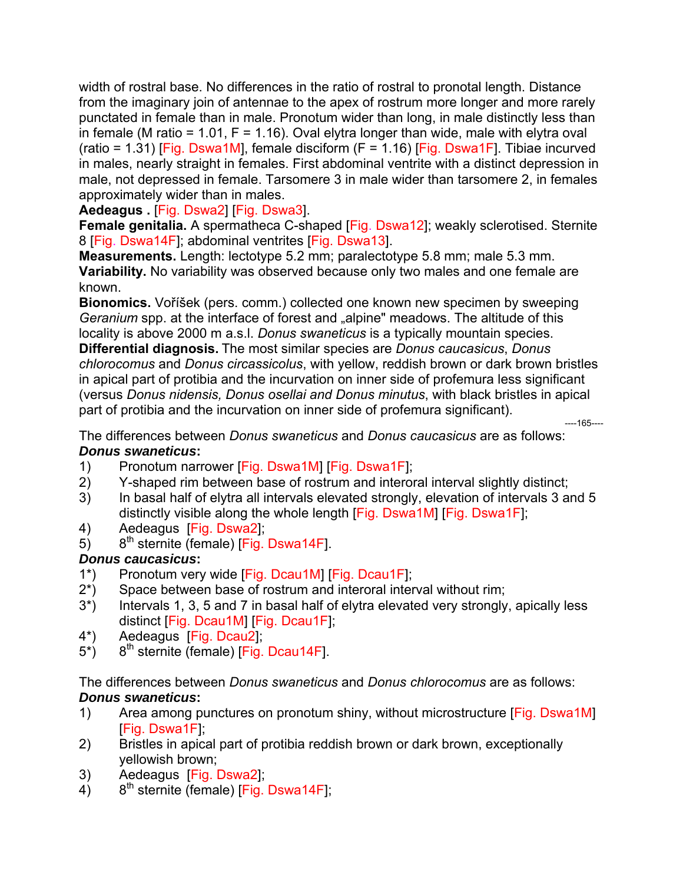width of rostral base. No differences in the ratio of rostral to pronotal length. Distance from the imaginary join of antennae to the apex of rostrum more longer and more rarely punctated in female than in male. Pronotum wider than long, in male distinctly less than in female (M ratio = 1.01,  $F = 1.16$ ). Oval elytra longer than wide, male with elytra oval  $(ratio = 1.31)$  [Fig. Dswa1M], female disciform (F = 1.16) [Fig. Dswa1F]. Tibiae incurved in males, nearly straight in females. First abdominal ventrite with a distinct depression in male, not depressed in female. Tarsomere 3 in male wider than tarsomere 2, in females approximately wider than in males.

**Aedeagus .** [Fig. Dswa2] [Fig. Dswa3].

**Female genitalia.** A spermatheca C-shaped [Fig. Dswa12]; weakly sclerotised. Sternite 8 [Fig. Dswa14F]; abdominal ventrites [Fig. Dswa13].

**Measurements.** Length: lectotype 5.2 mm; paralectotype 5.8 mm; male 5.3 mm. **Variability.** No variability was observed because only two males and one female are known.

**Bionomics.** Voříšek (pers. comm.) collected one known new specimen by sweeping *Geranium* spp. at the interface of forest and "alpine" meadows. The altitude of this locality is above 2000 m a.s.l. *Donus swaneticus* is a typically mountain species. **Differential diagnosis.** The most similar species are *Donus caucasicus*, *Donus chlorocomus* and *Donus circassicolus*, with yellow, reddish brown or dark brown bristles in apical part of protibia and the incurvation on inner side of profemura less significant (versus *Donus nidensis, Donus osellai and Donus minutus*, with black bristles in apical part of protibia and the incurvation on inner side of profemura significant). ----165----

The differences between *Donus swaneticus* and *Donus caucasicus* are as follows: *Donus swaneticus***:** 

- 1) Pronotum narrower [Fig. Dswa1M] [Fig. Dswa1F];
- 2) Y-shaped rim between base of rostrum and interoral interval slightly distinct;
- 3) In basal half of elytra all intervals elevated strongly, elevation of intervals 3 and 5 distinctly visible along the whole length [Fig. Dswa1M] [Fig. Dswa1F];
- 4) Aedeagus [Fig. Dswa2];
- 5)  $8<sup>th</sup>$  sternite (female) [Fig. Dswa14F].

# *Donus caucasicus***:**

- 1\*) Pronotum very wide [Fig. Dcau1M] [Fig. Dcau1F];
- 2\*) Space between base of rostrum and interoral interval without rim;
- 3\*) Intervals 1, 3, 5 and 7 in basal half of elytra elevated very strongly, apically less distinct [Fig. Dcau1M] [Fig. Dcau1F];
- 4\*) Aedeagus [Fig. Dcau2];
- $5^*$ ) 8<sup>th</sup> sternite (female) [Fig. Dcau14F].

The differences between *Donus swaneticus* and *Donus chlorocomus* are as follows: *Donus swaneticus***:** 

- 1) Area among punctures on pronotum shiny, without microstructure [Fig. Dswa1M] [Fig. Dswa1F];
- 2) Bristles in apical part of protibia reddish brown or dark brown, exceptionally yellowish brown;
- 3) Aedeagus [Fig. Dswa2];
- $4)$  8<sup>th</sup> sternite (female) [Fig. Dswa14F];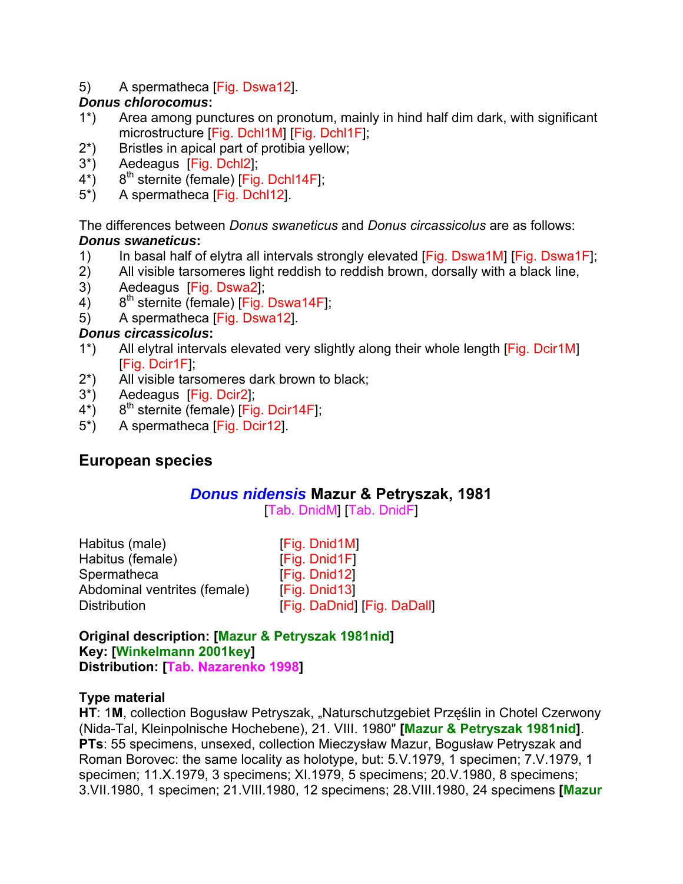5) A spermatheca [Fig. Dswa12].

## *Donus chlorocomus***:**

- 1\*) Area among punctures on pronotum, mainly in hind half dim dark, with significant microstructure [Fig. Dchl1M] [Fig. Dchl1F];
- 2\*) Bristles in apical part of protibia yellow;
- 3\*) Aedeagus [Fig. Dchl2];
- $4^*$ ) 8<sup>th</sup> sternite (female) [Fig. Dchl14F];
- 5\*) A spermatheca [Fig. Dchl12].

The differences between *Donus swaneticus* and *Donus circassicolus* are as follows: *Donus swaneticus***:** 

- 
- 1) In basal half of elytra all intervals strongly elevated [Fig. Dswa1M] [Fig. Dswa1F];<br>2) All visible tarsomeres light reddish to reddish brown, dorsally with a black line, All visible tarsomeres light reddish to reddish brown, dorsally with a black line,
- 3) Aedeagus [Fig. Dswa2];
- 4)  $8^{th}$  sternite (female) [Fig. Dswa14F];
- 5) A spermatheca [Fig. Dswa12].

## *Donus circassicolus***:**

- 1\*) All elytral intervals elevated very slightly along their whole length [Fig. Dcir1M] [Fig. Dcir1F];
- 2\*) All visible tarsomeres dark brown to black;
- 3\*) Aedeagus [Fig. Dcir2];
- $4^*$ ) 8<sup>th</sup> sternite (female) [Fig. Dcir14F];
- 5\*) A spermatheca [Fig. Dcir12].

# **European species**

# *Donus nidensis* **Mazur & Petryszak, 1981**

[Tab. DnidM] [Tab. DnidF]

| Habitus (male)               | [Fig. Dnid1M]               |
|------------------------------|-----------------------------|
| Habitus (female)             | [Fig. Dnid1F]               |
| Spermatheca                  | [Fig. Dnid12]               |
| Abdominal ventrites (female) | [Fig. Dnid13]               |
| <b>Distribution</b>          | [Fig. DaDnid] [Fig. DaDall] |
|                              |                             |

**Original description: [Mazur & Petryszak 1981nid] Key: [Winkelmann 2001key] Distribution: [Tab. Nazarenko 1998]** 

## **Type material**

HT: 1M, collection Bogusław Petryszak, "Naturschutzgebiet Przęślin in Chotel Czerwony (Nida-Tal, Kleinpolnische Hochebene), 21. VIII. 1980" **[Mazur & Petryszak 1981nid]**. **PTs**: 55 specimens, unsexed, collection Mieczysław Mazur, Bogusław Petryszak and Roman Borovec: the same locality as holotype, but: 5*.*V.1979, 1 specimen; 7.V.1979, 1 specimen; 11.X.1979, 3 specimens; XI.1979, 5 specimens; 20.V.1980, 8 specimens; 3.VII.1980, 1 specimen; 21.VIII.1980, 12 specimens; 28.VIII.1980, 24 specimens **[Mazur**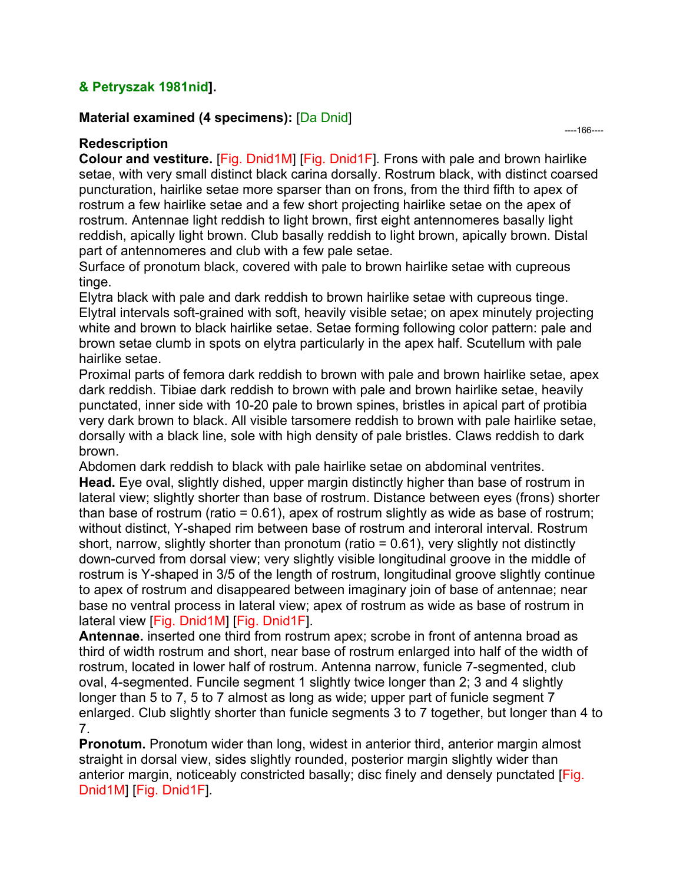## **& Petryszak 1981nid].**

#### **Material examined (4 specimens):** [Da Dnid]

**Redescription** 

**Colour and vestiture.** [Fig. Dnid1M] [Fig. Dnid1F]*.* Frons with pale and brown hairlike setae, with very small distinct black carina dorsally. Rostrum black, with distinct coarsed puncturation, hairlike setae more sparser than on frons, from the third fifth to apex of rostrum a few hairlike setae and a few short projecting hairlike setae on the apex of rostrum. Antennae light reddish to light brown, first eight antennomeres basally light reddish, apically light brown. Club basally reddish to light brown, apically brown. Distal part of antennomeres and club with a few pale setae.

Surface of pronotum black, covered with pale to brown hairlike setae with cupreous tinge.

Elytra black with pale and dark reddish to brown hairlike setae with cupreous tinge. Elytral intervals soft-grained with soft, heavily visible setae; on apex minutely projecting white and brown to black hairlike setae. Setae forming following color pattern: pale and brown setae clumb in spots on elytra particularly in the apex half. Scutellum with pale hairlike setae.

Proximal parts of femora dark reddish to brown with pale and brown hairlike setae, apex dark reddish. Tibiae dark reddish to brown with pale and brown hairlike setae, heavily punctated, inner side with 10-20 pale to brown spines, bristles in apical part of protibia very dark brown to black. All visible tarsomere reddish to brown with pale hairlike setae, dorsally with a black line, sole with high density of pale bristles. Claws reddish to dark brown.

Abdomen dark reddish to black with pale hairlike setae on abdominal ventrites. **Head.** Eye oval, slightly dished, upper margin distinctly higher than base of rostrum in lateral view; slightly shorter than base of rostrum. Distance between eyes (frons) shorter than base of rostrum (ratio = 0.61), apex of rostrum slightly as wide as base of rostrum; without distinct, Y-shaped rim between base of rostrum and interoral interval. Rostrum short, narrow, slightly shorter than pronotum (ratio = 0.61), very slightly not distinctly down-curved from dorsal view; very slightly visible longitudinal groove in the middle of rostrum is Y-shaped in 3/5 of the length of rostrum, longitudinal groove slightly continue to apex of rostrum and disappeared between imaginary join of base of antennae; near base no ventral process in lateral view; apex of rostrum as wide as base of rostrum in lateral view [Fig. Dnid1M] [Fig. Dnid1F].

**Antennae.** inserted one third from rostrum apex; scrobe in front of antenna broad as third of width rostrum and short, near base of rostrum enlarged into half of the width of rostrum, located in lower half of rostrum. Antenna narrow, funicle 7-segmented, club oval, 4-segmented. Funcile segment 1 slightly twice longer than 2; 3 and 4 slightly longer than 5 to 7, 5 to 7 almost as long as wide; upper part of funicle segment 7 enlarged. Club slightly shorter than funicle segments 3 to 7 together, but longer than 4 to 7.

**Pronotum.** Pronotum wider than long, widest in anterior third, anterior margin almost straight in dorsal view, sides slightly rounded, posterior margin slightly wider than anterior margin, noticeably constricted basally; disc finely and densely punctated [Fig. Dnid1M] [Fig. Dnid1F]*.*

----166----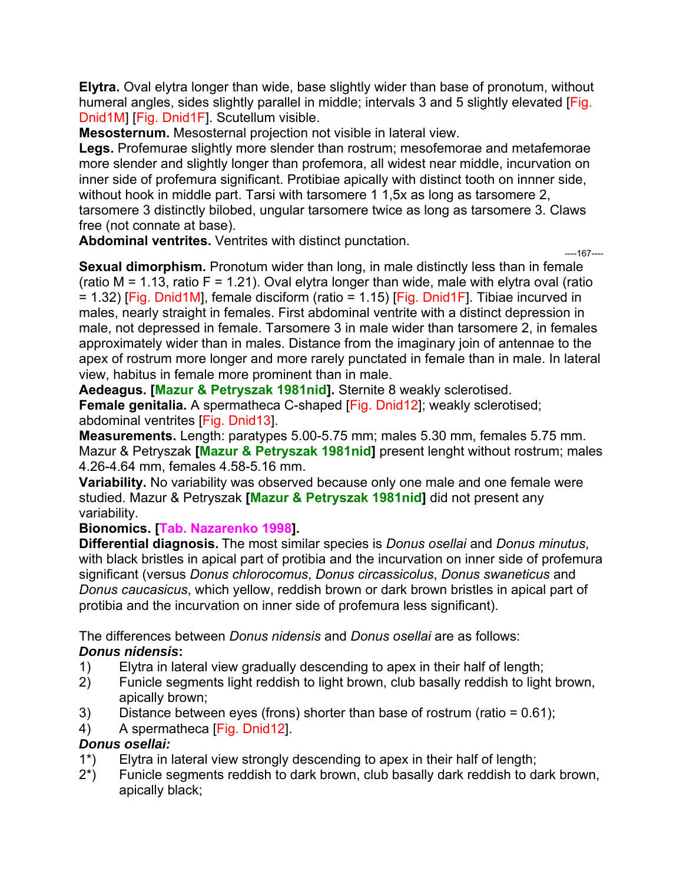**Elytra.** Oval elytra longer than wide, base slightly wider than base of pronotum, without humeral angles, sides slightly parallel in middle; intervals 3 and 5 slightly elevated [Fig. Dnid1M] [Fig. Dnid1F]. Scutellum visible.

**Mesosternum.** Mesosternal projection not visible in lateral view.

**Legs.** Profemurae slightly more slender than rostrum; mesofemorae and metafemorae more slender and slightly longer than profemora, all widest near middle, incurvation on inner side of profemura significant. Protibiae apically with distinct tooth on innner side, without hook in middle part. Tarsi with tarsomere 1 1,5x as long as tarsomere 2, tarsomere 3 distinctly bilobed, ungular tarsomere twice as long as tarsomere 3. Claws free (not connate at base).

**Abdominal ventrites.** Ventrites with distinct punctation.

----167----

**Sexual dimorphism.** Pronotum wider than long, in male distinctly less than in female (ratio  $M = 1.13$ , ratio  $F = 1.21$ ). Oval elytra longer than wide, male with elytra oval (ratio  $= 1.32$ ) [Fig. Dnid1M], female disciform (ratio = 1.15) [Fig. Dnid1F]. Tibiae incurved in males, nearly straight in females. First abdominal ventrite with a distinct depression in male, not depressed in female. Tarsomere 3 in male wider than tarsomere 2, in females approximately wider than in males. Distance from the imaginary join of antennae to the apex of rostrum more longer and more rarely punctated in female than in male. In lateral view, habitus in female more prominent than in male.

**Aedeagus. [Mazur & Petryszak 1981nid].** Sternite 8 weakly sclerotised.

**Female genitalia.** A spermatheca C-shaped [Fig. Dnid12]; weakly sclerotised; abdominal ventrites [Fig. Dnid13].

**Measurements.** Length: paratypes 5.00-5.75 mm; males 5.30 mm, females 5.75 mm. Mazur & Petryszak **[Mazur & Petryszak 1981nid]** present lenght without rostrum; males 4.26-4.64 mm, females 4.58-5.16 mm.

**Variability.** No variability was observed because only one male and one female were studied. Mazur & Petryszak **[Mazur & Petryszak 1981nid]** did not present any variability.

**Bionomics. [Tab. Nazarenko 1998].** 

**Differential diagnosis.** The most similar species is *Donus osellai* and *Donus minutus*, with black bristles in apical part of protibia and the incurvation on inner side of profemura significant (versus *Donus chlorocomus*, *Donus circassicolus*, *Donus swaneticus* and *Donus caucasicus*, which yellow, reddish brown or dark brown bristles in apical part of protibia and the incurvation on inner side of profemura less significant).

The differences between *Donus nidensis* and *Donus osellai* are as follows:

# *Donus nidensis***:**

- 1) Elytra in lateral view gradually descending to apex in their half of length;
- 2) Funicle segments light reddish to light brown, club basally reddish to light brown, apically brown;
- 3) Distance between eyes (frons) shorter than base of rostrum (ratio = 0.61);
- 4) A spermatheca [Fig. Dnid12].

# *Donus osellai:*

- 1\*) Elytra in lateral view strongly descending to apex in their half of length;
- 2\*) Funicle segments reddish to dark brown, club basally dark reddish to dark brown, apically black;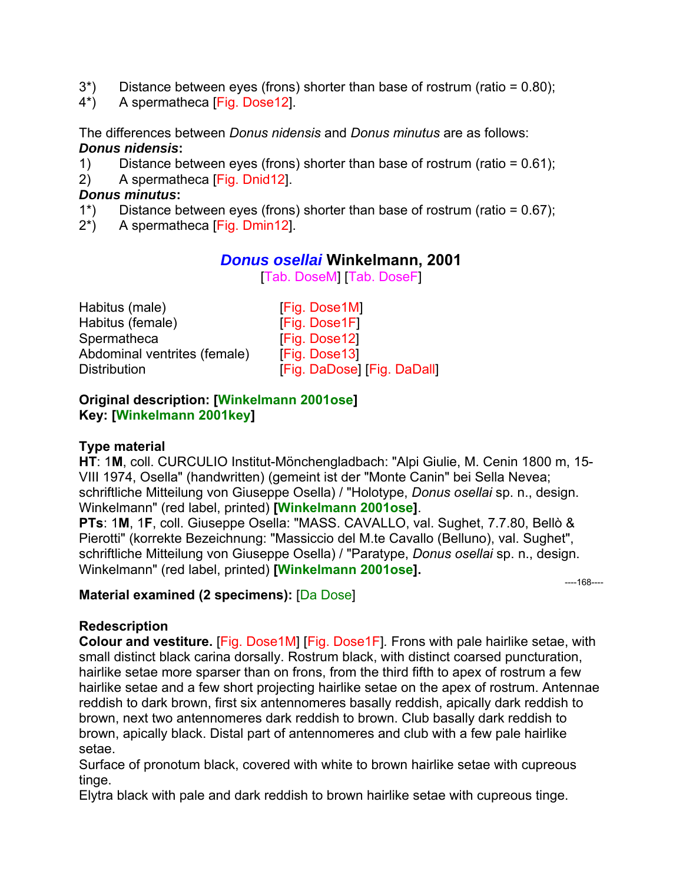- $3^*$ ) Distance between eyes (frons) shorter than base of rostrum (ratio = 0.80);
- 4\*) A spermatheca [Fig. Dose12].

The differences between *Donus nidensis* and *Donus minutus* are as follows: *Donus nidensis***:** 

- 1) Distance between eyes (frons) shorter than base of rostrum (ratio = 0.61);
- 2) A spermatheca [Fig. Dnid12].

#### *Donus minutus***:**

- 1\*) Distance between eyes (frons) shorter than base of rostrum (ratio = 0.67);
- 2\*) A spermatheca [Fig. Dmin12].

## *Donus osellai* **Winkelmann, 2001**

[Tab. DoseM] [Tab. DoseF]

| [Fig. Dose1M]               |
|-----------------------------|
| [Fig. Dose1F]               |
| [Fig. Dose12]               |
| [Fig. Dose13]               |
| [Fig. DaDose] [Fig. DaDall] |
|                             |

### **Original description: [Winkelmann 2001ose] Key: [Winkelmann 2001key]**

### **Type material**

**HT**: 1**M**, coll. CURCULIO Institut-Mönchengladbach: "Alpi Giulie, M. Cenin 1800 m, 15- VIII 1974, Osella" (handwritten) (gemeint ist der "Monte Canin" bei Sella Nevea; schriftliche Mitteilung von Giuseppe Osella) / "Holotype, *Donus osellai* sp. n., design. Winkelmann" (red label, printed) **[Winkelmann 2001ose]**.

**PTs**: 1**M**, 1**F**, coll. Giuseppe Osella: "MASS. CAVALLO, val. Sughet, 7.7.80, Bellò & Pierotti" (korrekte Bezeichnung: "Massiccio del M.te Cavallo (Belluno), val. Sughet", schriftliche Mitteilung von Giuseppe Osella) / "Paratype, *Donus osellai* sp. n., design. Winkelmann" (red label, printed) **[Winkelmann 2001ose].**

----168----

## **Material examined (2 specimens):** [Da Dose]

#### **Redescription**

**Colour and vestiture.** [Fig. Dose1M] [Fig. Dose1F]*.* Frons with pale hairlike setae, with small distinct black carina dorsally. Rostrum black, with distinct coarsed puncturation, hairlike setae more sparser than on frons, from the third fifth to apex of rostrum a few hairlike setae and a few short projecting hairlike setae on the apex of rostrum. Antennae reddish to dark brown, first six antennomeres basally reddish, apically dark reddish to brown, next two antennomeres dark reddish to brown. Club basally dark reddish to brown, apically black. Distal part of antennomeres and club with a few pale hairlike setae.

Surface of pronotum black, covered with white to brown hairlike setae with cupreous tinge.

Elytra black with pale and dark reddish to brown hairlike setae with cupreous tinge.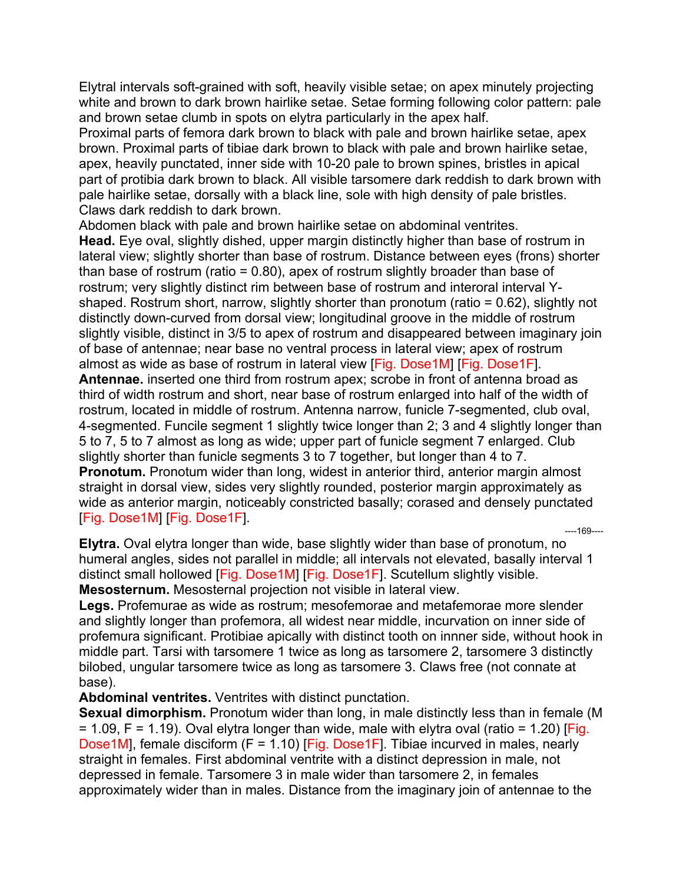Elytral intervals soft-grained with soft, heavily visible setae; on apex minutely projecting white and brown to dark brown hairlike setae. Setae forming following color pattern: pale and brown setae clumb in spots on elytra particularly in the apex half.

Proximal parts of femora dark brown to black with pale and brown hairlike setae, apex brown. Proximal parts of tibiae dark brown to black with pale and brown hairlike setae, apex, heavily punctated, inner side with 10-20 pale to brown spines, bristles in apical part of protibia dark brown to black. All visible tarsomere dark reddish to dark brown with pale hairlike setae, dorsally with a black line, sole with high density of pale bristles. Claws dark reddish to dark brown.

Abdomen black with pale and brown hairlike setae on abdominal ventrites.

**Head.** Eye oval, slightly dished, upper margin distinctly higher than base of rostrum in lateral view; slightly shorter than base of rostrum. Distance between eyes (frons) shorter than base of rostrum (ratio = 0.80), apex of rostrum slightly broader than base of rostrum; very slightly distinct rim between base of rostrum and interoral interval Yshaped. Rostrum short, narrow, slightly shorter than pronotum (ratio = 0.62), slightly not distinctly down-curved from dorsal view; longitudinal groove in the middle of rostrum slightly visible, distinct in 3/5 to apex of rostrum and disappeared between imaginary join of base of antennae; near base no ventral process in lateral view; apex of rostrum almost as wide as base of rostrum in lateral view [Fig. Dose1M] [Fig. Dose1F]. **Antennae.** inserted one third from rostrum apex; scrobe in front of antenna broad as third of width rostrum and short, near base of rostrum enlarged into half of the width of rostrum, located in middle of rostrum. Antenna narrow, funicle 7-segmented, club oval, 4-segmented. Funcile segment 1 slightly twice longer than 2; 3 and 4 slightly longer than 5 to 7, 5 to 7 almost as long as wide; upper part of funicle segment 7 enlarged. Club slightly shorter than funicle segments 3 to 7 together, but longer than 4 to 7. **Pronotum.** Pronotum wider than long, widest in anterior third, anterior margin almost straight in dorsal view, sides very slightly rounded, posterior margin approximately as wide as anterior margin, noticeably constricted basally; corased and densely punctated [Fig. Dose1M] [Fig. Dose1F]. ----169----

**Elytra.** Oval elytra longer than wide, base slightly wider than base of pronotum, no humeral angles, sides not parallel in middle; all intervals not elevated, basally interval 1 distinct small hollowed [Fig. Dose1M] [Fig. Dose1F]. Scutellum slightly visible. **Mesosternum.** Mesosternal projection not visible in lateral view.

**Legs.** Profemurae as wide as rostrum; mesofemorae and metafemorae more slender and slightly longer than profemora, all widest near middle, incurvation on inner side of profemura significant. Protibiae apically with distinct tooth on innner side, without hook in middle part. Tarsi with tarsomere 1 twice as long as tarsomere 2, tarsomere 3 distinctly bilobed, ungular tarsomere twice as long as tarsomere 3. Claws free (not connate at base).

**Abdominal ventrites.** Ventrites with distinct punctation.

**Sexual dimorphism.** Pronotum wider than long, in male distinctly less than in female (M  $= 1.09$ , F = 1.19). Oval elytra longer than wide, male with elytra oval (ratio = 1.20) [Fig. Dose1M], female disciform (F = 1.10) [Fig. Dose1F]. Tibiae incurved in males, nearly straight in females. First abdominal ventrite with a distinct depression in male, not depressed in female. Tarsomere 3 in male wider than tarsomere 2, in females approximately wider than in males. Distance from the imaginary join of antennae to the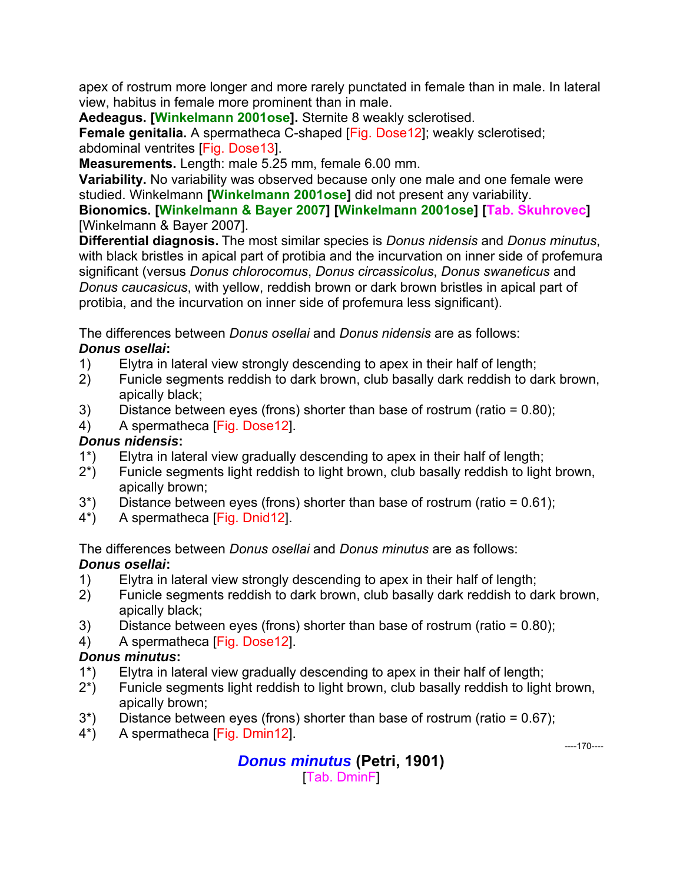apex of rostrum more longer and more rarely punctated in female than in male. In lateral view, habitus in female more prominent than in male.

**Aedeagus. [Winkelmann 2001ose].** Sternite 8 weakly sclerotised.

**Female genitalia.** A spermatheca C-shaped [Fig. Dose12]; weakly sclerotised; abdominal ventrites [Fig. Dose13].

**Measurements.** Length: male 5.25 mm, female 6.00 mm.

**Variability.** No variability was observed because only one male and one female were studied. Winkelmann **[Winkelmann 2001ose]** did not present any variability.

**Bionomics. [Winkelmann & Bayer 2007] [Winkelmann 2001ose] [Tab. Skuhrovec]**  [Winkelmann & Bayer 2007].

**Differential diagnosis.** The most similar species is *Donus nidensis* and *Donus minutus*, with black bristles in apical part of protibia and the incurvation on inner side of profemura significant (versus *Donus chlorocomus*, *Donus circassicolus*, *Donus swaneticus* and *Donus caucasicus*, with yellow, reddish brown or dark brown bristles in apical part of protibia, and the incurvation on inner side of profemura less significant).

The differences between *Donus osellai* and *Donus nidensis* are as follows: *Donus osellai***:** 

- 1) Elytra in lateral view strongly descending to apex in their half of length;
- 2) Funicle segments reddish to dark brown, club basally dark reddish to dark brown, apically black;
- 3) Distance between eyes (frons) shorter than base of rostrum (ratio = 0.80);
- 4) A spermatheca [Fig. Dose12].

# *Donus nidensis***:**

- 1\*) Elytra in lateral view gradually descending to apex in their half of length;
- 2\*) Funicle segments light reddish to light brown, club basally reddish to light brown, apically brown;
- 3\*) Distance between eyes (frons) shorter than base of rostrum (ratio = 0.61);
- 4\*) A spermatheca [Fig. Dnid12].

The differences between *Donus osellai* and *Donus minutus* are as follows:

# *Donus osellai***:**

- 1) Elytra in lateral view strongly descending to apex in their half of length;
- 2) Funicle segments reddish to dark brown, club basally dark reddish to dark brown, apically black;
- 3) Distance between eyes (frons) shorter than base of rostrum (ratio = 0.80);
- 4) A spermatheca [Fig. Dose12].

# *Donus minutus***:**

- 1\*) Elytra in lateral view gradually descending to apex in their half of length;
- 2\*) Funicle segments light reddish to light brown, club basally reddish to light brown, apically brown;
- $3^*$ ) Distance between eyes (frons) shorter than base of rostrum (ratio = 0.67);
- 4\*) A spermatheca [Fig. Dmin12].

----170----

# *Donus minutus* **(Petri, 1901)**

[Tab. DminF]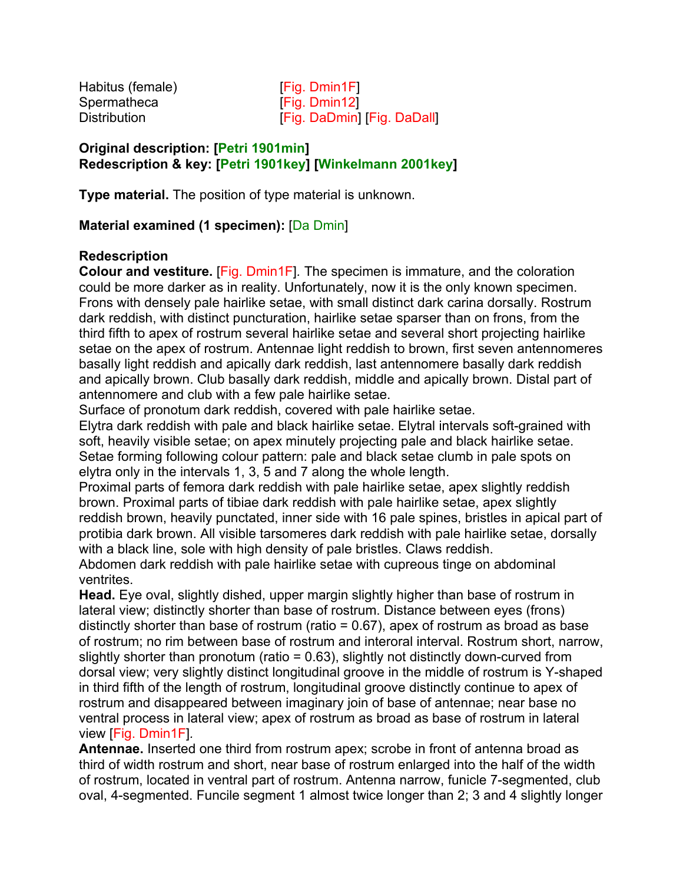Habitus (female) Fig. Dmin1Fl Spermatheca [Fig. Dmin12]

Distribution **[Fig. DaDmin]** [Fig. DaDall]

#### **Original description: [Petri 1901min] Redescription & key: [Petri 1901key] [Winkelmann 2001key]**

**Type material.** The position of type material is unknown.

### **Material examined (1 specimen):** [Da Dmin]

#### **Redescription**

**Colour and vestiture.** [Fig. Dmin1F]*.* The specimen is immature, and the coloration could be more darker as in reality. Unfortunately, now it is the only known specimen. Frons with densely pale hairlike setae, with small distinct dark carina dorsally. Rostrum dark reddish, with distinct puncturation, hairlike setae sparser than on frons, from the third fifth to apex of rostrum several hairlike setae and several short projecting hairlike setae on the apex of rostrum. Antennae light reddish to brown, first seven antennomeres basally light reddish and apically dark reddish, last antennomere basally dark reddish and apically brown. Club basally dark reddish, middle and apically brown. Distal part of antennomere and club with a few pale hairlike setae.

Surface of pronotum dark reddish, covered with pale hairlike setae.

Elytra dark reddish with pale and black hairlike setae. Elytral intervals soft-grained with soft, heavily visible setae; on apex minutely projecting pale and black hairlike setae. Setae forming following colour pattern: pale and black setae clumb in pale spots on elytra only in the intervals 1, 3, 5 and 7 along the whole length.

Proximal parts of femora dark reddish with pale hairlike setae, apex slightly reddish brown. Proximal parts of tibiae dark reddish with pale hairlike setae, apex slightly reddish brown, heavily punctated, inner side with 16 pale spines, bristles in apical part of protibia dark brown. All visible tarsomeres dark reddish with pale hairlike setae, dorsally with a black line, sole with high density of pale bristles. Claws reddish.

Abdomen dark reddish with pale hairlike setae with cupreous tinge on abdominal ventrites.

**Head.** Eye oval, slightly dished, upper margin slightly higher than base of rostrum in lateral view; distinctly shorter than base of rostrum. Distance between eyes (frons) distinctly shorter than base of rostrum (ratio  $= 0.67$ ), apex of rostrum as broad as base of rostrum; no rim between base of rostrum and interoral interval. Rostrum short, narrow, slightly shorter than pronotum (ratio = 0.63), slightly not distinctly down-curved from dorsal view; very slightly distinct longitudinal groove in the middle of rostrum is Y-shaped in third fifth of the length of rostrum, longitudinal groove distinctly continue to apex of rostrum and disappeared between imaginary join of base of antennae; near base no ventral process in lateral view; apex of rostrum as broad as base of rostrum in lateral view [Fig. Dmin1F]*.*

**Antennae.** Inserted one third from rostrum apex; scrobe in front of antenna broad as third of width rostrum and short, near base of rostrum enlarged into the half of the width of rostrum, located in ventral part of rostrum. Antenna narrow, funicle 7-segmented, club oval, 4-segmented. Funcile segment 1 almost twice longer than 2; 3 and 4 slightly longer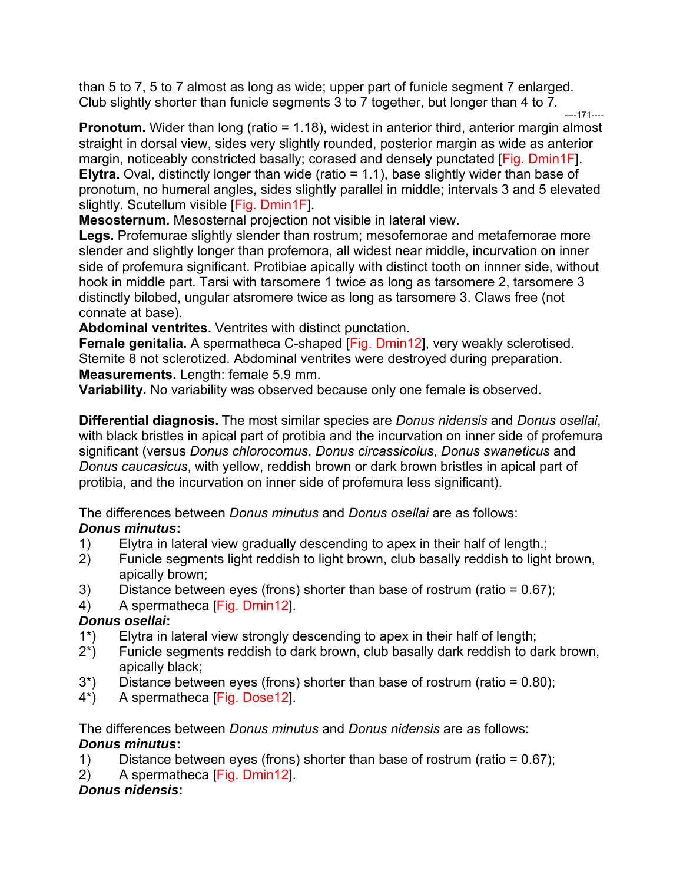than 5 to 7, 5 to 7 almost as long as wide; upper part of funicle segment 7 enlarged. Club slightly shorter than funicle segments 3 to 7 together, but longer than 4 to 7*.* 

----171---- **Pronotum.** Wider than long (ratio = 1.18), widest in anterior third, anterior margin almost straight in dorsal view, sides very slightly rounded, posterior margin as wide as anterior margin, noticeably constricted basally; corased and densely punctated [Fig. Dmin1F]. **Elytra.** Oval, distinctly longer than wide (ratio = 1.1), base slightly wider than base of pronotum, no humeral angles, sides slightly parallel in middle; intervals 3 and 5 elevated slightly. Scutellum visible [Fig. Dmin1F].

**Mesosternum.** Mesosternal projection not visible in lateral view.

**Legs.** Profemurae slightly slender than rostrum; mesofemorae and metafemorae more slender and slightly longer than profemora, all widest near middle, incurvation on inner side of profemura significant. Protibiae apically with distinct tooth on innner side, without hook in middle part. Tarsi with tarsomere 1 twice as long as tarsomere 2, tarsomere 3 distinctly bilobed, ungular atsromere twice as long as tarsomere 3. Claws free (not connate at base).

**Abdominal ventrites.** Ventrites with distinct punctation.

**Female genitalia.** A spermatheca C-shaped [Fig. Dmin12], very weakly sclerotised. Sternite 8 not sclerotized. Abdominal ventrites were destroyed during preparation. **Measurements.** Length: female 5.9 mm.

**Variability.** No variability was observed because only one female is observed.

**Differential diagnosis.** The most similar species are *Donus nidensis* and *Donus osellai*, with black bristles in apical part of protibia and the incurvation on inner side of profemura significant (versus *Donus chlorocomus*, *Donus circassicolus*, *Donus swaneticus* and *Donus caucasicus*, with yellow, reddish brown or dark brown bristles in apical part of protibia, and the incurvation on inner side of profemura less significant).

The differences between *Donus minutus* and *Donus osellai* are as follows:

# *Donus minutus***:**

- 1) Elytra in lateral view gradually descending to apex in their half of length.;
- 2) Funicle segments light reddish to light brown, club basally reddish to light brown, apically brown;
- 3) Distance between eyes (frons) shorter than base of rostrum (ratio = 0.67);
- 4) A spermatheca [Fig. Dmin12].

# *Donus osellai***:**

- 1\*) Elytra in lateral view strongly descending to apex in their half of length;
- 2\*) Funicle segments reddish to dark brown, club basally dark reddish to dark brown, apically black;
- $3^*$ ) Distance between eyes (frons) shorter than base of rostrum (ratio = 0.80);
- 4\*) A spermatheca [Fig. Dose12].

The differences between *Donus minutus* and *Donus nidensis* are as follows: *Donus minutus***:** 

- 1) Distance between eyes (frons) shorter than base of rostrum (ratio = 0.67);
- 2) A spermatheca [Fig. Dmin12].

# *Donus nidensis***:**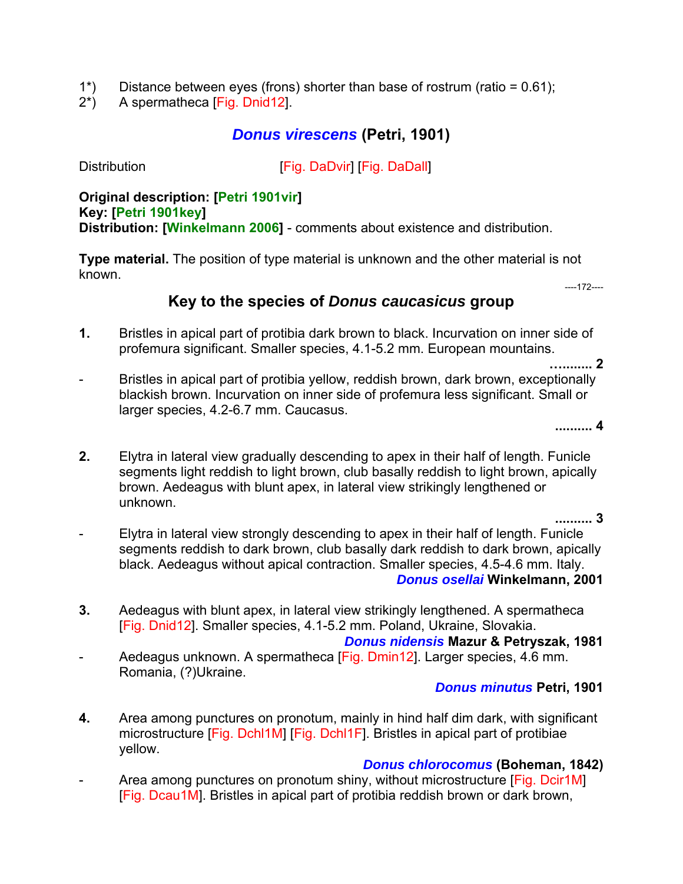- 1\*) Distance between eyes (frons) shorter than base of rostrum (ratio = 0.61);
- 2\*) A spermatheca [Fig. Dnid12].

# *Donus virescens* **(Petri, 1901)**

Distribution **Example 2** [Fig. DaDvir] [Fig. DaDall]

#### **Original description: [Petri 1901vir] Key: [Petri 1901key] Distribution: [Winkelmann 2006]** - comments about existence and distribution.

**Type material.** The position of type material is unknown and the other material is not known.

----172----

# **Key to the species of** *Donus caucasicus* **group**

- **1.** Bristles in apical part of protibia dark brown to black. Incurvation on inner side of profemura significant. Smaller species, 4.1-5.2 mm. European mountains.
- Bristles in apical part of protibia yellow, reddish brown, dark brown, exceptionally blackish brown. Incurvation on inner side of profemura less significant. Small or larger species, 4.2-6.7 mm. Caucasus.

**.......... 4**

**…........ 2**

**2.** Elytra in lateral view gradually descending to apex in their half of length. Funicle segments light reddish to light brown, club basally reddish to light brown, apically brown. Aedeagus with blunt apex, in lateral view strikingly lengthened or unknown.

**.......... 3**

- Elytra in lateral view strongly descending to apex in their half of length. Funicle segments reddish to dark brown, club basally dark reddish to dark brown, apically black. Aedeagus without apical contraction. Smaller species, 4.5-4.6 mm. Italy. *Donus osellai* **Winkelmann, 2001**
- **3.** Aedeagus with blunt apex, in lateral view strikingly lengthened. A spermatheca [Fig. Dnid12]. Smaller species, 4.1-5.2 mm. Poland, Ukraine, Slovakia.

*Donus nidensis* **Mazur & Petryszak, 1981**

Aedeagus unknown. A spermatheca [Fig. Dmin12]. Larger species, 4.6 mm. Romania, (?)Ukraine.

#### *Donus minutus* **Petri, 1901**

**4.** Area among punctures on pronotum, mainly in hind half dim dark, with significant microstructure [Fig. Dchl1M] [Fig. Dchl1F]. Bristles in apical part of protibiae yellow.

#### *Donus chlorocomus* **(Boheman, 1842)**

-Area among punctures on pronotum shiny, without microstructure [Fig. Dcir1M] [Fig. Dcau1M]. Bristles in apical part of protibia reddish brown or dark brown,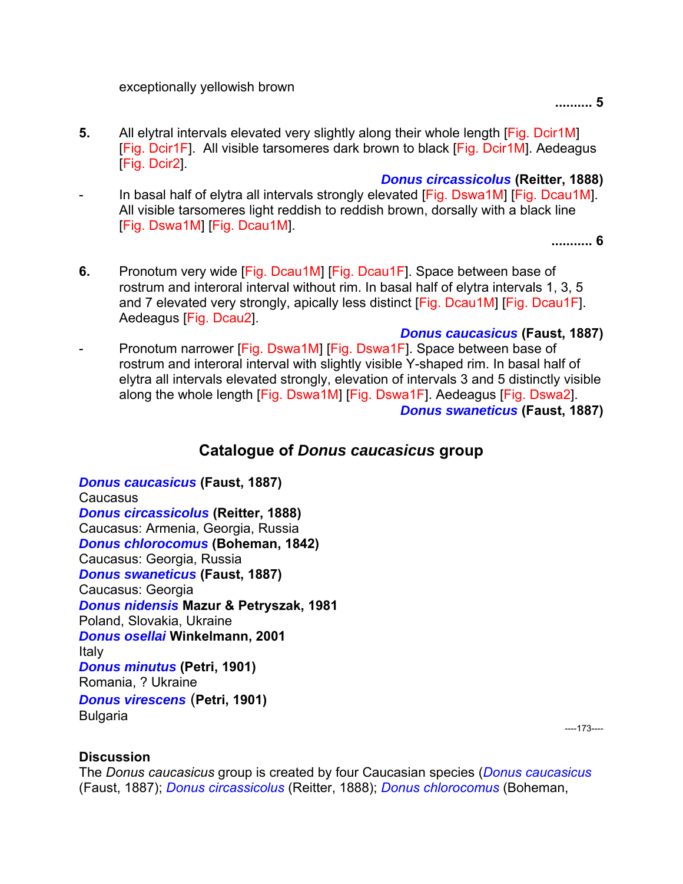exceptionally yellowish brown

**.......... 5** 

**5.** All elytral intervals elevated very slightly along their whole length [Fig. Dcir1M] [Fig. Dcir1F]. All visible tarsomeres dark brown to black [Fig. Dcir1M]. Aedeagus [Fig. Dcir2].

*Donus circassicolus* **(Reitter, 1888)**

-In basal half of elytra all intervals strongly elevated [Fig. Dswa1M] [Fig. Dcau1M]. All visible tarsomeres light reddish to reddish brown, dorsally with a black line [Fig. Dswa1M] [Fig. Dcau1M].

**........... 6** 

- **6.** Pronotum very wide [Fig. Dcau1M] [Fig. Dcau1F]. Space between base of rostrum and interoral interval without rim. In basal half of elytra intervals 1, 3, 5 and 7 elevated very strongly, apically less distinct [Fig. Dcau1M] [Fig. Dcau1F]. Aedeagus [Fig. Dcau2].
- *Donus caucasicus* **(Faust, 1887)** -Pronotum narrower [Fig. Dswa1M] [Fig. Dswa1F]. Space between base of rostrum and interoral interval with slightly visible Y-shaped rim. In basal half of elytra all intervals elevated strongly, elevation of intervals 3 and 5 distinctly visible along the whole length [Fig. Dswa1M] [Fig. Dswa1F]. Aedeagus [Fig. Dswa2]. *Donus swaneticus* **(Faust, 1887)**

# **Catalogue of** *Donus caucasicus* **group**

*Donus caucasicus* **(Faust, 1887)**  Caucasus *Donus circassicolus* **(Reitter, 1888)**  Caucasus: Armenia, Georgia, Russia *Donus chlorocomus* **(Boheman, 1842)**  Caucasus: Georgia, Russia *Donus swaneticus* **(Faust, 1887)**  Caucasus: Georgia *Donus nidensis* **Mazur & Petryszak, 1981**  Poland, Slovakia, Ukraine *Donus osellai* **Winkelmann, 2001**  Italy *Donus minutus* **(Petri, 1901)**  Romania, ? Ukraine *Donus virescens* (**Petri, 1901) Bulgaria** 

----173----

#### **Discussion**

The *Donus caucasicus* group is created by four Caucasian species (*Donus caucasicus* (Faust, 1887); *Donus circassicolus* (Reitter, 1888); *Donus chlorocomus* (Boheman,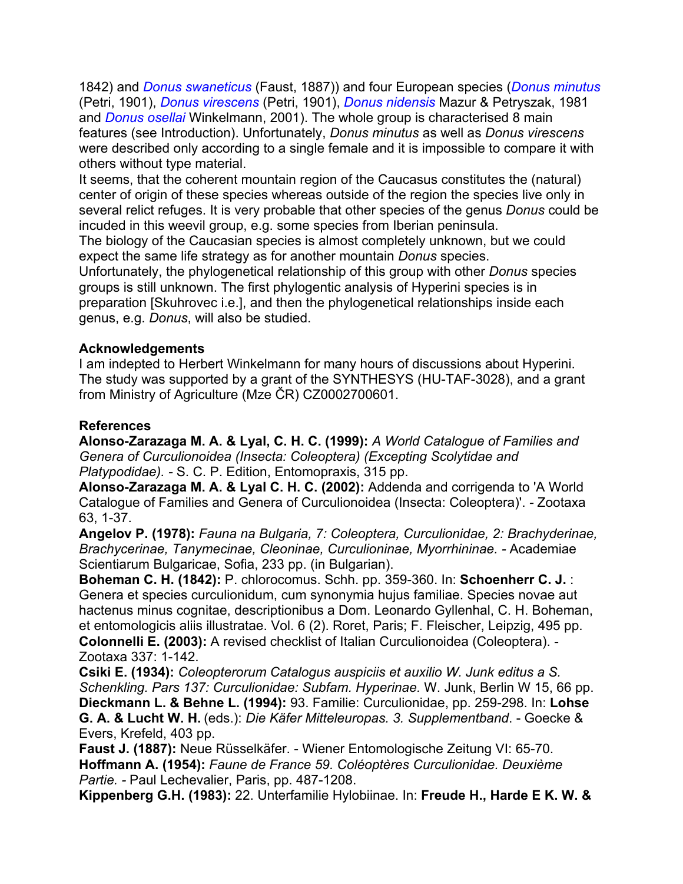1842) and *Donus swaneticus* (Faust, 1887)) and four European species (*Donus minutus* (Petri, 1901), *Donus virescens* (Petri, 1901), *Donus nidensis* Mazur & Petryszak, 1981 and *Donus osellai* Winkelmann, 2001). The whole group is characterised 8 main features (see Introduction). Unfortunately, *Donus minutus* as well as *Donus virescens* were described only according to a single female and it is impossible to compare it with others without type material.

It seems, that the coherent mountain region of the Caucasus constitutes the (natural) center of origin of these species whereas outside of the region the species live only in several relict refuges. It is very probable that other species of the genus *Donus* could be incuded in this weevil group, e.g. some species from Iberian peninsula.

The biology of the Caucasian species is almost completely unknown, but we could expect the same life strategy as for another mountain *Donus* species.

Unfortunately, the phylogenetical relationship of this group with other *Donus* species groups is still unknown. The first phylogentic analysis of Hyperini species is in preparation [Skuhrovec i.e.], and then the phylogenetical relationships inside each genus, e.g. *Donus*, will also be studied.

### **Acknowledgements**

I am indepted to Herbert Winkelmann for many hours of discussions about Hyperini. The study was supported by a grant of the SYNTHESYS (HU-TAF-3028), and a grant from Ministry of Agriculture (Mze ČR) CZ0002700601.

### **References**

**Alonso-Zarazaga M. A. & Lyal, C. H. C. (1999):** *A World Catalogue of Families and Genera of Curculionoidea (Insecta: Coleoptera) (Excepting Scolytidae and Platypodidae). -* S. C. P. Edition, Entomopraxis, 315 pp.

**Alonso-Zarazaga M. A. & Lyal C. H. C. (2002):** Addenda and corrigenda to 'A World Catalogue of Families and Genera of Curculionoidea (Insecta: Coleoptera)'. *-* Zootaxa 63, 1-37.

**Angelov P. (1978):** *Fauna na Bulgaria, 7: Coleoptera, Curculionidae, 2: Brachyderinae, Brachycerinae, Tanymecinae, Cleoninae, Curculioninae, Myorrhininae. -* Academiae Scientiarum Bulgaricae, Sofia, 233 pp. (in Bulgarian).

**Boheman C. H. (1842):** P. chlorocomus. Schh. pp. 359-360. In: **Schoenherr C. J.** : Genera et species curculionidum, cum synonymia hujus familiae. Species novae aut hactenus minus cognitae, descriptionibus a Dom. Leonardo Gyllenhal, C. H. Boheman, et entomologicis aliis illustratae. Vol. 6 (2). Roret, Paris; F. Fleischer, Leipzig, 495 pp. **Colonnelli E. (2003):** A revised checklist of Italian Curculionoidea (Coleoptera). - Zootaxa 337: 1-142.

**Csiki E. (1934):** *Coleopterorum Catalogus auspiciis et auxilio W. Junk editus a S. Schenkling. Pars 137: Curculionidae: Subfam. Hyperinae.* W. Junk, Berlin W 15, 66 pp. **Dieckmann L. & Behne L. (1994):** 93. Familie: Curculionidae, pp. 259-298. In: **Lohse G. A. & Lucht W. H.** (eds.): *Die Käfer Mitteleuropas. 3. Supplementband*. - Goecke & Evers, Krefeld, 403 pp.

**Faust J. (1887):** Neue Rüsselkäfer. - Wiener Entomologische Zeitung VI: 65-70. **Hoffmann A. (1954):** *Faune de France 59. Coléoptères Curculionidae. Deuxième Partie. -* Paul Lechevalier, Paris, pp. 487-1208.

**Kippenberg G.H. (1983):** 22. Unterfamilie Hylobiinae. In: **Freude H., Harde E K. W. &**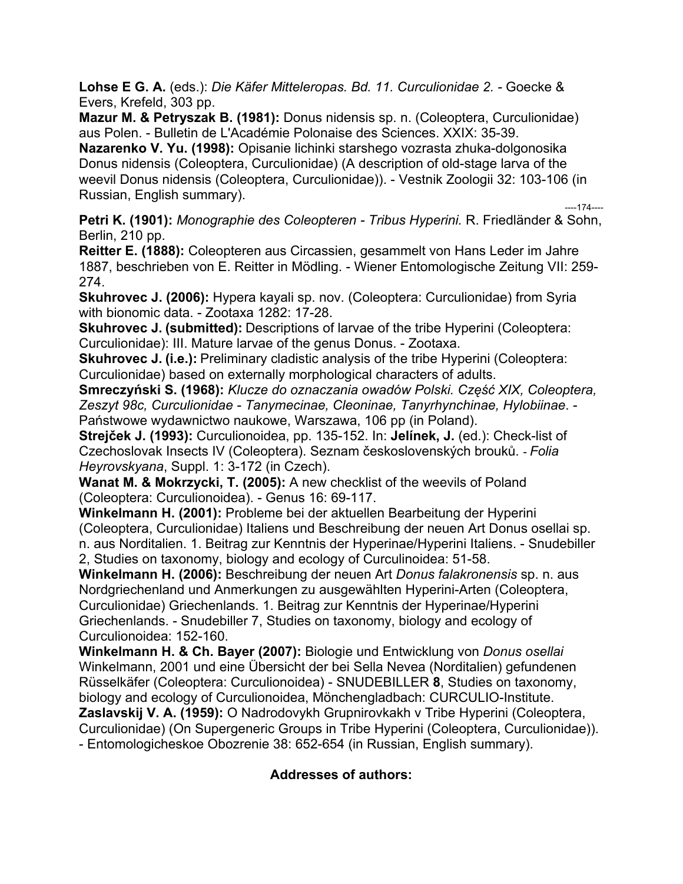**Lohse E G. A.** (eds.): *Die Käfer Mitteleropas. Bd. 11. Curculionidae 2. -* Goecke & Evers, Krefeld, 303 pp.

**Mazur M. & Petryszak B. (1981):** Donus nidensis sp. n. (Coleoptera, Curculionidae) aus Polen. - Bulletin de L'Académie Polonaise des Sciences. XXIX: 35-39.

**Nazarenko V. Yu. (1998):** Opisanie lichinki starshego vozrasta zhuka-dolgonosika Donus nidensis (Coleoptera, Curculionidae) (A description of old-stage larva of the weevil Donus nidensis (Coleoptera, Curculionidae)). - Vestnik Zoologii 32: 103-106 (in Russian, English summary). ----174----

**Petri K. (1901):** *Monographie des Coleopteren - Tribus Hyperini.* R. Friedländer & Sohn, Berlin, 210 pp.

**Reitter E. (1888):** Coleopteren aus Circassien, gesammelt von Hans Leder im Jahre 1887, beschrieben von E. Reitter in Mödling. - Wiener Entomologische Zeitung VII: 259- 274.

**Skuhrovec J. (2006):** Hypera kayali sp. nov. (Coleoptera: Curculionidae) from Syria with bionomic data. - Zootaxa 1282: 17-28.

**Skuhrovec J. (submitted):** Descriptions of larvae of the tribe Hyperini (Coleoptera: Curculionidae): III. Mature larvae of the genus Donus. - Zootaxa.

**Skuhrovec J. (i.e.):** Preliminary cladistic analysis of the tribe Hyperini (Coleoptera: Curculionidae) based on externally morphological characters of adults.

**Smreczyński S. (1968):** *Klucze do oznaczania owadów Polski. Część XIX, Coleoptera, Zeszyt 98c, Curculionidae - Tanymecinae, Cleoninae, Tanyrhynchinae, Hylobiinae*. - Państwowe wydawnictwo naukowe, Warszawa, 106 pp (in Poland).

**Strejček J. (1993):** Curculionoidea, pp. 135-152. In: **Jelínek, J.** (ed.): Check-list of Czechoslovak Insects IV (Coleoptera). Seznam československých brouků. *- Folia Heyrovskyana*, Suppl. 1: 3-172 (in Czech).

**Wanat M. & Mokrzycki, T. (2005):** A new checklist of the weevils of Poland (Coleoptera: Curculionoidea). - Genus 16: 69-117.

**Winkelmann H. (2001):** Probleme bei der aktuellen Bearbeitung der Hyperini (Coleoptera, Curculionidae) Italiens und Beschreibung der neuen Art Donus osellai sp. n. aus Norditalien. 1. Beitrag zur Kenntnis der Hyperinae/Hyperini Italiens. - Snudebiller 2, Studies on taxonomy, biology and ecology of Curculinoidea: 51-58.

**Winkelmann H. (2006):** Beschreibung der neuen Art *Donus falakronensis* sp. n. aus Nordgriechenland und Anmerkungen zu ausgewählten Hyperini-Arten (Coleoptera, Curculionidae) Griechenlands. 1. Beitrag zur Kenntnis der Hyperinae/Hyperini Griechenlands. - Snudebiller 7, Studies on taxonomy, biology and ecology of Curculionoidea: 152-160.

**Winkelmann H. & Ch. Bayer (2007):** Biologie und Entwicklung von *Donus osellai* Winkelmann, 2001 und eine Übersicht der bei Sella Nevea (Norditalien) gefundenen Rüsselkäfer (Coleoptera: Curculionoidea) - SNUDEBILLER **8**, Studies on taxonomy, biology and ecology of Curculionoidea, Mönchengladbach: CURCULIO-Institute. **Zaslavskij V. A. (1959):** O Nadrodovykh Grupnirovkakh v Tribe Hyperini (Coleoptera, Curculionidae) (On Supergeneric Groups in Tribe Hyperini (Coleoptera, Curculionidae)).

- Entomologicheskoe Obozrenie 38: 652-654 (in Russian, English summary).

#### **Addresses of authors:**